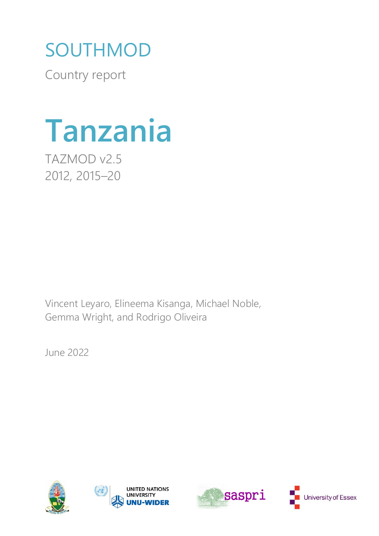# SOUTHMOD

Country report



TAZMOD v2.5 2012, 2015–20

Vincent Leyaro, Elineema Kisanga, Michael Noble, Gemma Wright, and Rodrigo Oliveira

June 2022







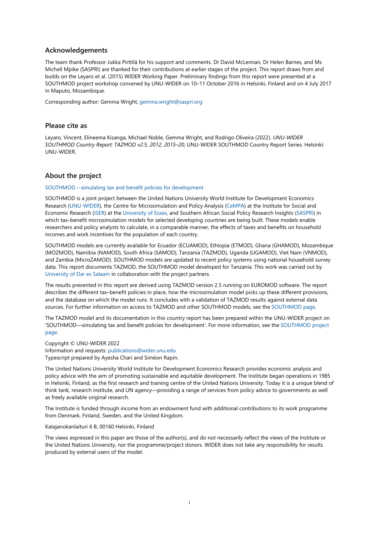#### **Acknowledgements**

The team thank Professor Jukka Pirttilä for his support and comments. Dr David McLennan, Dr Helen Barnes, and Ms Michell Mpike (SASPRI) are thanked for their contributions at earlier stages of the project. This report draws from and builds on the Leyaro et al. (2015) WIDER Working Paper. Preliminary findings from this report were presented at a SOUTHMOD project workshop convened by UNU-WIDER on 10–11 October 2016 in Helsinki, Finland and on 4 July 2017 in Maputo, Mozambique.

Corresponding author: Gemma Wright[, gemma.wright@saspri.org](mailto:gemma.wright@saspri.org)

#### **Please cite as**

Leyaro, Vincent, Elineema Kisanga, Michael Noble, Gemma Wright, and Rodrigo Oliveira (2022). *UNU-WIDER SOUTHMOD Country Report: TAZMOD v2.5, 2012, 2015–20*, UNU-WIDER SOUTHMOD Country Report Series. Helsinki: UNU-WIDER.

#### **About the project**

#### SOUTHMOD – [simulating tax and benefit policies for development](https://www.wider.unu.edu/node/236949)

SOUTHMOD is a joint project between the United Nations University World Institute for Development Economics Research [\(UNU-WIDER\)](https://www.wider.unu.edu/), the Centre for Microsimulation and Policy Analysis [\(CeMPA\)](https://www.microsimulation.ac.uk/) at the Institute for Social and Economic Research [\(ISER\)](https://www.iser.essex.ac.uk/) at the [University of Essex,](http://www.essex.ac.uk/) and Southern African Social Policy Research Insights [\(SASPRI\)](http://saspri.org/) in which tax–benefit microsimulation models for selected developing countries are being built. These models enable researchers and policy analysts to calculate, in a comparable manner, the effects of taxes and benefits on household incomes and work incentives for the population of each country.

SOUTHMOD models are currently available for Ecuador (ECUAMOD), Ethiopia (ETMOD), Ghana (GHAMOD), Mozambique (MOZMOD), Namibia (NAMOD), South Africa (SAMOD), Tanzania (TAZMOD), Uganda (UGAMOD), Viet Nam (VNMOD), and Zambia (MicroZAMOD). SOUTHMOD models are updated to recent policy systems using national household survey data. This report documents TAZMOD, the SOUTHMOD model developed for Tanzania. This work was carried out by [University of Dar es Salaam](https://www.udsm.ac.tz/) in collaboration with the project partners.

The results presented in this report are derived using TAZMOD version 2.5 running on EUROMOD software. The report describes the different tax–benefit policies in place, how the microsimulation model picks up these different provisions, and the database on which the model runs. It concludes with a validation of TAZMOD results against external data sources. For further information on access to TAZMOD and other SOUTHMOD models, see the [SOUTHMOD page.](https://www.wider.unu.edu/node/236949)

The TAZMOD model and its documentation in this country report has been prepared within the UNU-WIDER project on 'SOUTHMOD—simulating tax and benefit policies for development'. For more information, see the [SOUTHMOD project](https://www.wider.unu.edu/node/236949)  [page.](https://www.wider.unu.edu/node/236949)

Copyright © UNU-WIDER 2022 Information and requests[: publications@wider.unu.edu](mailto:publications@wider.unu.edu) Typescript prepared by Ayesha Chari and Siméon Rapin.

The United Nations University World Institute for Development Economics Research provides economic analysis and policy advice with the aim of promoting sustainable and equitable development. The Institute began operations in 1985 in Helsinki, Finland, as the first research and training centre of the United Nations University. Today it is a unique blend of think tank, research institute, and UN agency—providing a range of services from policy advice to governments as well as freely available original research.

The Institute is funded through income from an endowment fund with additional contributions to its work programme from Denmark, Finland, Sweden, and the United Kingdom.

#### Katajanokanlaituri 6 B, 00160 Helsinki, Finland

The views expressed in this paper are those of the author(s), and do not necessarily reflect the views of the Institute or the United Nations University, nor the programme/project donors. WIDER does not take any responsibility for results produced by external users of the model.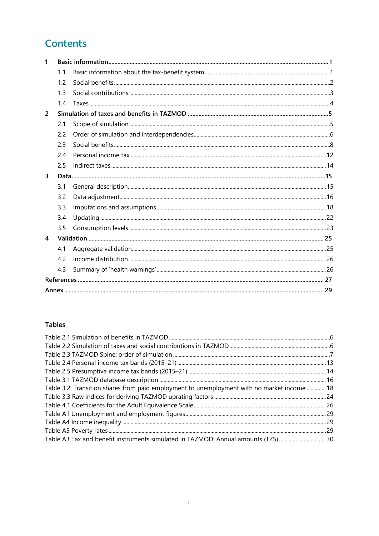# **Contents**

| 1              |     |  |
|----------------|-----|--|
|                | 1.1 |  |
|                | 1.2 |  |
|                | 1.3 |  |
|                | 14  |  |
| $\overline{2}$ |     |  |
|                | 2.1 |  |
|                | 2.2 |  |
|                | 2.3 |  |
|                | 2.4 |  |
|                | 2.5 |  |
| 3              |     |  |
|                | 3.1 |  |
|                | 3.2 |  |
|                | 3.3 |  |
|                | 3.4 |  |
|                | 3.5 |  |
| 4              |     |  |
|                | 4.1 |  |
|                | 4.2 |  |
|                | 4.3 |  |
|                |     |  |
|                |     |  |

# **Tables**

| Table 3.2: Transition shares from paid employment to unemployment with no market income  18 |  |
|---------------------------------------------------------------------------------------------|--|
|                                                                                             |  |
|                                                                                             |  |
|                                                                                             |  |
|                                                                                             |  |
|                                                                                             |  |
| Table A3 Tax and benefit instruments simulated in TAZMOD: Annual amounts (TZS) 30           |  |
|                                                                                             |  |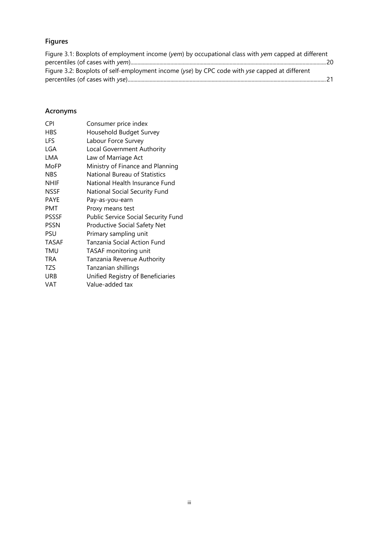# **Figures**

| Figure 3.1: Boxplots of employment income (yem) by occupational class with yem capped at different |  |
|----------------------------------------------------------------------------------------------------|--|
|                                                                                                    |  |
| Figure 3.2: Boxplots of self-employment income (yse) by CPC code with yse capped at different      |  |
|                                                                                                    |  |

# **Acronyms**

| <b>CPI</b>   | Consumer price index                |
|--------------|-------------------------------------|
| <b>HBS</b>   | Household Budget Survey             |
| <b>LFS</b>   | Labour Force Survey                 |
| LGA          | Local Government Authority          |
| LMA          | Law of Marriage Act                 |
| MoFP         | Ministry of Finance and Planning    |
| <b>NBS</b>   | National Bureau of Statistics       |
| <b>NHIF</b>  | National Health Insurance Fund      |
| <b>NSSF</b>  | National Social Security Fund       |
| <b>PAYE</b>  | Pay-as-you-earn                     |
| <b>PMT</b>   | Proxy means test                    |
| <b>PSSSF</b> | Public Service Social Security Fund |
| <b>PSSN</b>  | Productive Social Safety Net        |
| <b>PSU</b>   | Primary sampling unit               |
| <b>TASAF</b> | Tanzania Social Action Fund         |
| TMU          | TASAF monitoring unit               |
| TRA          | Tanzania Revenue Authority          |
| TZS          | Tanzanian shillings                 |
| <b>URB</b>   | Unified Registry of Beneficiaries   |
| VAT          | Value-added tax                     |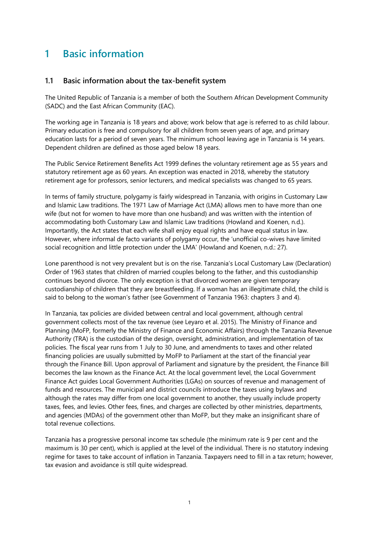# <span id="page-4-0"></span>**1 Basic information**

### <span id="page-4-1"></span>**1.1 Basic information about the tax-benefit system**

The United Republic of Tanzania is a member of both the Southern African Development Community (SADC) and the East African Community (EAC).

The working age in Tanzania is 18 years and above; work below that age is referred to as child labour. Primary education is free and compulsory for all children from seven years of age, and primary education lasts for a period of seven years. The minimum school leaving age in Tanzania is 14 years. Dependent children are defined as those aged below 18 years.

The Public Service Retirement Benefits Act 1999 defines the voluntary retirement age as 55 years and statutory retirement age as 60 years. An exception was enacted in 2018, whereby the statutory retirement age for professors, senior lecturers, and medical specialists was changed to 65 years.

In terms of family structure, polygamy is fairly widespread in Tanzania, with origins in Customary Law and Islamic Law traditions. The 1971 Law of Marriage Act (LMA) allows men to have more than one wife (but not for women to have more than one husband) and was written with the intention of accommodating both Customary Law and Islamic Law traditions (Howland and Koenen, n.d.). Importantly, the Act states that each wife shall enjoy equal rights and have equal status in law. However, where informal de facto variants of polygamy occur, the 'unofficial co-wives have limited social recognition and little protection under the LMA' (Howland and Koenen, n.d.: 27).

Lone parenthood is not very prevalent but is on the rise. Tanzania's Local Customary Law (Declaration) Order of 1963 states that children of married couples belong to the father, and this custodianship continues beyond divorce. The only exception is that divorced women are given temporary custodianship of children that they are breastfeeding. If a woman has an illegitimate child, the child is said to belong to the woman's father (see Government of Tanzania 1963: chapters 3 and 4).

In Tanzania, tax policies are divided between central and local government, although central government collects most of the tax revenue (see Leyaro et al. 2015). The Ministry of Finance and Planning (MoFP, formerly the Ministry of Finance and Economic Affairs) through the Tanzania Revenue Authority (TRA) is the custodian of the design, oversight, administration, and implementation of tax policies. The fiscal year runs from 1 July to 30 June, and amendments to taxes and other related financing policies are usually submitted by MoFP to Parliament at the start of the financial year through the Finance Bill. Upon approval of Parliament and signature by the president, the Finance Bill becomes the law known as the Finance Act. At the local government level, the Local Government Finance Act guides Local Government Authorities (LGAs) on sources of revenue and management of funds and resources. The municipal and district councils introduce the taxes using bylaws and although the rates may differ from one local government to another, they usually include property taxes, fees, and levies. Other fees, fines, and charges are collected by other ministries, departments, and agencies (MDAs) of the government other than MoFP, but they make an insignificant share of total revenue collections.

Tanzania has a progressive personal income tax schedule (the minimum rate is 9 per cent and the maximum is 30 per cent), which is applied at the level of the individual. There is no statutory indexing regime for taxes to take account of inflation in Tanzania. Taxpayers need to fill in a tax return; however, tax evasion and avoidance is still quite widespread.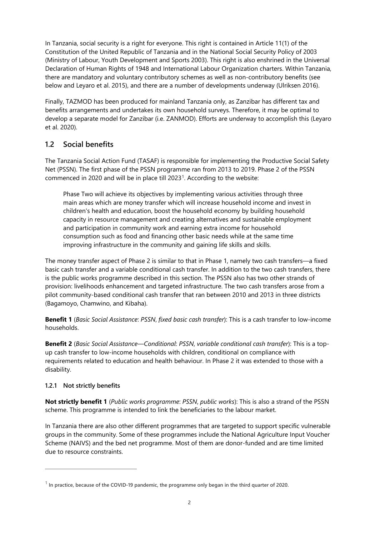In Tanzania, social security is a right for everyone. This right is contained in Article 11(1) of the Constitution of the United Republic of Tanzania and in the National Social Security Policy of 2003 (Ministry of Labour, Youth Development and Sports 2003). This right is also enshrined in the Universal Declaration of Human Rights of 1948 and International Labour Organization charters. Within Tanzania, there are mandatory and voluntary contributory schemes as well as non-contributory benefits (see below and Leyaro et al. 2015), and there are a number of developments underway (Ulriksen 2016).

Finally, TAZMOD has been produced for mainland Tanzania only, as Zanzibar has different tax and benefits arrangements and undertakes its own household surveys. Therefore, it may be optimal to develop a separate model for Zanzibar (i.e. ZANMOD). Efforts are underway to accomplish this (Leyaro et al. 2020).

# <span id="page-5-0"></span>**1.2 Social benefits**

The Tanzania Social Action Fund (TASAF) is responsible for implementing the Productive Social Safety Net (PSSN). The first phase of the PSSN programme ran from 2013 to 2019. Phase 2 of the PSSN commenced in 2020 and will be in place till 2023[1](#page-5-1). According to the website:

Phase Two will achieve its objectives by implementing various activities through three main areas which are money transfer which will increase household income and invest in children's health and education, boost the household economy by building household capacity in resource management and creating alternatives and sustainable employment and participation in community work and earning extra income for household consumption such as food and financing other basic needs while at the same time improving infrastructure in the community and gaining life skills and skills.

The money transfer aspect of Phase 2 is similar to that in Phase 1, namely two cash transfers—a fixed basic cash transfer and a variable conditional cash transfer. In addition to the two cash transfers, there is the public works programme described in this section. The PSSN also has two other strands of provision: livelihoods enhancement and targeted infrastructure. The two cash transfers arose from a pilot community-based conditional cash transfer that ran between 2010 and 2013 in three districts (Bagamoyo, Chamwino, and Kibaha).

**Benefit 1** (*Basic Social Assistance*: *PSSN*, *fixed basic cash transfer*): This is a cash transfer to low-income households.

**Benefit 2** (*Basic Social Assistance—Conditional*: *PSSN*, *variable conditional cash transfer*): This is a topup cash transfer to low-income households with children, conditional on compliance with requirements related to education and health behaviour. In Phase 2 it was extended to those with a disability.

# **1.2.1 Not strictly benefits**

**Not strictly benefit 1** (*Public works programme*: *PSSN*, *public works*): This is also a strand of the PSSN scheme. This programme is intended to link the beneficiaries to the labour market.

In Tanzania there are also other different programmes that are targeted to support specific vulnerable groups in the community. Some of these programmes include the National Agriculture Input Voucher Scheme (NAIVS) and the bed net programme. Most of them are donor-funded and are time limited due to resource constraints.

<span id="page-5-1"></span><sup>1</sup> **In practice, because of the COVID-19 pandemic, the programme only began in the third quarter of 2020.**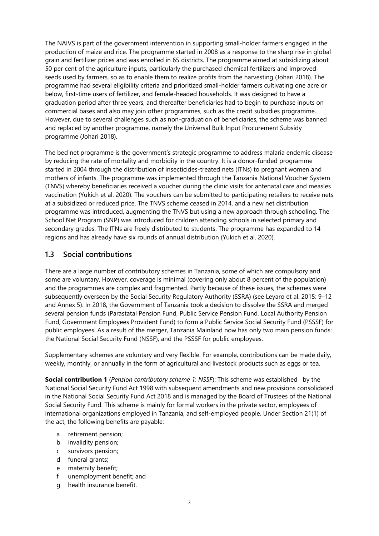The NAIVS is part of the government intervention in supporting small-holder farmers engaged in the production of maize and rice. The programme started in 2008 as a response to the sharp rise in global grain and fertilizer prices and was enrolled in 65 districts. The programme aimed at subsidizing about 50 per cent of the agriculture inputs, particularly the purchased chemical fertilizers and improved seeds used by farmers, so as to enable them to realize profits from the harvesting (Johari 2018). The programme had several eligibility criteria and prioritized small-holder farmers cultivating one acre or below, first-time users of fertilizer, and female-headed households. It was designed to have a graduation period after three years, and thereafter beneficiaries had to begin to purchase inputs on commercial bases and also may join other programmes, such as the credit subsidies programme. However, due to several challenges such as non-graduation of beneficiaries, the scheme was banned and replaced by another programme, namely the Universal Bulk Input Procurement Subsidy programme (Johari 2018).

The bed net programme is the government's strategic programme to address malaria endemic disease by reducing the rate of mortality and morbidity in the country. It is a donor-funded programme started in 2004 through the distribution of insecticides-treated nets (ITNs) to pregnant women and mothers of infants. The programme was implemented through the Tanzania National Voucher System (TNVS) whereby beneficiaries received a voucher during the clinic visits for antenatal care and measles vaccination (Yukich et al. 2020). The vouchers can be submitted to participating retailers to receive nets at a subsidized or reduced price. The TNVS scheme ceased in 2014, and a new net distribution programme was introduced, augmenting the TNVS but using a new approach through schooling. The School Net Program (SNP) was introduced for children attending schools in selected primary and secondary grades. The ITNs are freely distributed to students. The programme has expanded to 14 regions and has already have six rounds of annual distribution (Yukich et al. 2020).

# <span id="page-6-0"></span>**1.3 Social contributions**

There are a large number of contributory schemes in Tanzania, some of which are compulsory and some are voluntary. However, coverage is minimal (covering only about 8 percent of the population) and the programmes are complex and fragmented. Partly because of these issues, the schemes were subsequently overseen by the Social Security Regulatory Authority (SSRA) (see Leyaro et al. 2015: 9–12 and Annex 5). In 2018, the Government of Tanzania took a decision to dissolve the SSRA and merged several pension funds (Parastatal Pension Fund, Public Service Pension Fund, Local Authority Pension Fund, Government Employees Provident Fund) to form a Public Service Social Security Fund (PSSSF) for public employees. As a result of the merger, Tanzania Mainland now has only two main pension funds: the National Social Security Fund (NSSF), and the PSSSF for public employees.

Supplementary schemes are voluntary and very flexible. For example, contributions can be made daily, weekly, monthly, or annually in the form of agricultural and livestock products such as eggs or tea.

**Social contribution 1** (*Pension contributory scheme 1*: *NSSF*): This scheme was established by the National Social Security Fund Act 1998 with subsequent amendments and new provisions consolidated in the National Social Security Fund Act 2018 and is managed by the Board of Trustees of the National Social Security Fund. This scheme is mainly for formal workers in the private sector, employees of international organizations employed in Tanzania, and self-employed people. Under Section 21(1) of the act, the following benefits are payable:

- a retirement pension;
- b invalidity pension;
- c survivors pension;
- d funeral grants;
- e maternity benefit;
- f unemployment benefit; and
- g health insurance benefit.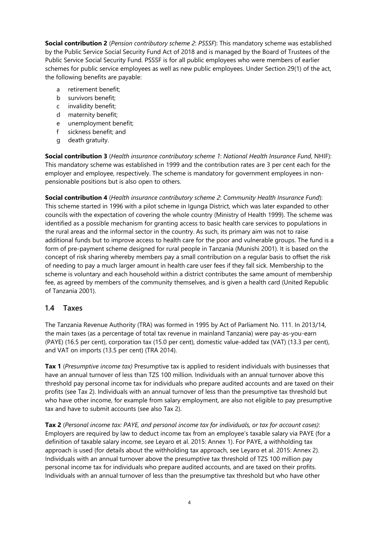**Social contribution 2** (*Pension contributory scheme 2*: *PSSSF*): This mandatory scheme was established by the Public Service Social Security Fund Act of 2018 and is managed by the Board of Trustees of the Public Service Social Security Fund. PSSSF is for all public employees who were members of earlier schemes for public service employees as well as new public employees. Under Section 29(1) of the act, the following benefits are payable:

- a retirement benefit;
- b survivors benefit;
- c invalidity benefit;
- d maternity benefit;
- e unemployment benefit;
- f sickness benefit; and
- g death gratuity.

**Social contribution 3** (*Health insurance contributory scheme 1*: *National Health Insurance Fund*, NHIF): This mandatory scheme was established in 1999 and the contribution rates are 3 per cent each for the employer and employee, respectively. The scheme is mandatory for government employees in nonpensionable positions but is also open to others.

**Social contribution 4** (*Health insurance contributory scheme 2*: *Community Health Insurance Fund*): This scheme started in 1996 with a pilot scheme in Igunga District, which was later expanded to other councils with the expectation of covering the whole country (Ministry of Health 1999). The scheme was identified as a possible mechanism for granting access to basic health care services to populations in the rural areas and the informal sector in the country. As such, its primary aim was not to raise additional funds but to improve access to health care for the poor and vulnerable groups. The fund is a form of pre-payment scheme designed for rural people in Tanzania (Munishi 2001). It is based on the concept of risk sharing whereby members pay a small contribution on a regular basis to offset the risk of needing to pay a much larger amount in health care user fees if they fall sick. Membership to the scheme is voluntary and each household within a district contributes the same amount of membership fee, as agreed by members of the community themselves, and is given a health card (United Republic of Tanzania 2001).

# <span id="page-7-0"></span>**1.4 Taxes**

The Tanzania Revenue Authority (TRA) was formed in 1995 by Act of Parliament No. 111. In 2013/14, the main taxes (as a percentage of total tax revenue in mainland Tanzania) were pay-as-you-earn (PAYE) (16.5 per cent), corporation tax (15.0 per cent), domestic value-added tax (VAT) (13.3 per cent), and VAT on imports (13.5 per cent) (TRA 2014).

**Tax 1** (*Presumptive income tax)* Presumptive tax is applied to resident individuals with businesses that have an annual turnover of less than TZS 100 million. Individuals with an annual turnover above this threshold pay personal income tax for individuals who prepare audited accounts and are taxed on their profits (see Tax 2). Individuals with an annual turnover of less than the presumptive tax threshold but who have other income, for example from salary employment, are also not eligible to pay presumptive tax and have to submit accounts (see also Tax 2).

**Tax 2** (*Personal income tax: PAYE, and personal income tax for individuals, or tax for account cases)*: Employers are required by law to deduct income tax from an employee's taxable salary via PAYE (for a definition of taxable salary income, see Leyaro et al. 2015: Annex 1). For PAYE, a withholding tax approach is used (for details about the withholding tax approach, see Leyaro et al. 2015: Annex 2). Individuals with an annual turnover above the presumptive tax threshold of TZS 100 million pay personal income tax for individuals who prepare audited accounts, and are taxed on their profits. Individuals with an annual turnover of less than the presumptive tax threshold but who have other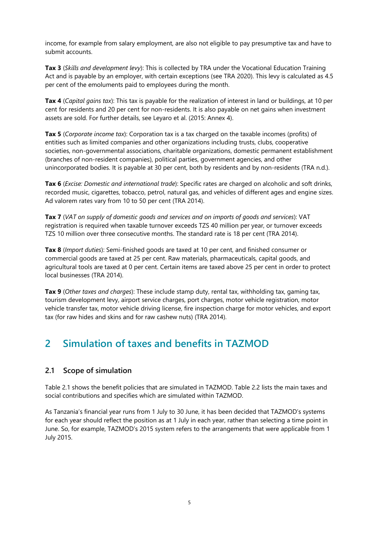income, for example from salary employment, are also not eligible to pay presumptive tax and have to submit accounts.

**Tax 3** (*Skills and development levy*): This is collected by TRA under the Vocational Education Training Act and is payable by an employer, with certain exceptions (see TRA 2020). This levy is calculated as 4.5 per cent of the emoluments paid to employees during the month.

**Tax 4** (*Capital gains tax*): This tax is payable for the realization of interest in land or buildings, at 10 per cent for residents and 20 per cent for non-residents. It is also payable on net gains when investment assets are sold. For further details, see Leyaro et al. (2015: Annex 4).

**Tax 5** (*Corporate income tax*): Corporation tax is a tax charged on the taxable incomes (profits) of entities such as limited companies and other organizations including trusts, clubs, cooperative societies, non-governmental associations, charitable organizations, domestic permanent establishment (branches of non-resident companies), political parties, government agencies, and other unincorporated bodies. It is payable at 30 per cent, both by residents and by non-residents (TRA n.d.).

**Tax 6** (*Excise: Domestic and international trade*): Specific rates are charged on alcoholic and soft drinks, recorded music, cigarettes, tobacco, petrol, natural gas, and vehicles of different ages and engine sizes. Ad valorem rates vary from 10 to 50 per cent (TRA 2014).

**Tax 7** (*VAT on supply of domestic goods and services and on imports of goods and services*): VAT registration is required when taxable turnover exceeds TZS 40 million per year, or turnover exceeds TZS 10 million over three consecutive months. The standard rate is 18 per cent (TRA 2014).

**Tax 8** (*Import duties*): Semi-finished goods are taxed at 10 per cent, and finished consumer or commercial goods are taxed at 25 per cent. Raw materials, pharmaceuticals, capital goods, and agricultural tools are taxed at 0 per cent. Certain items are taxed above 25 per cent in order to protect local businesses (TRA 2014).

**Tax 9** (*Other taxes and charges*): These include stamp duty, rental tax, withholding tax, gaming tax, tourism development levy, airport service charges, port charges, motor vehicle registration, motor vehicle transfer tax, motor vehicle driving license, fire inspection charge for motor vehicles, and export tax (for raw hides and skins and for raw cashew nuts) (TRA 2014).

# <span id="page-8-0"></span>**2 Simulation of taxes and benefits in TAZMOD**

# <span id="page-8-1"></span>**2.1 Scope of simulation**

Table 2.1 shows the benefit policies that are simulated in TAZMOD. Table 2.2 lists the main taxes and social contributions and specifies which are simulated within TAZMOD.

As Tanzania's financial year runs from 1 July to 30 June, it has been decided that TAZMOD's systems for each year should reflect the position as at 1 July in each year, rather than selecting a time point in June. So, for example, TAZMOD's 2015 system refers to the arrangements that were applicable from 1 July 2015.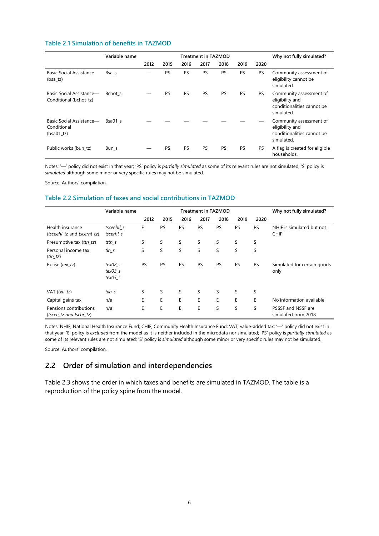#### <span id="page-9-1"></span>**Table 2.1 Simulation of benefits in TAZMOD**

|                                                         | Variable name |      |           | <b>Treatment in TAZMOD</b> | Why not fully simulated? |      |           |      |                                                                                        |
|---------------------------------------------------------|---------------|------|-----------|----------------------------|--------------------------|------|-----------|------|----------------------------------------------------------------------------------------|
|                                                         |               | 2012 | 2015      | 2016                       | 2017                     | 2018 | 2019      | 2020 |                                                                                        |
| <b>Basic Social Assistance</b><br>(bsa tz)              | Bsa s         |      | PS        | PS                         | PS                       | PS   | PS        | PS.  | Community assessment of<br>eligibility cannot be<br>simulated.                         |
| Basic Social Assistance-<br>Conditional (bchot tz)      | Bchot s       |      | <b>PS</b> | PS                         | PS                       | PS   | <b>PS</b> | PS.  | Community assessment of<br>eligibility and<br>conditionalities cannot be<br>simulated. |
| Basic Social Assistance—<br>Conditional<br>$(bsa01_tz)$ | Bsa01 s       |      |           |                            |                          |      |           |      | Community assessment of<br>eligibility and<br>conditionalities cannot be<br>simulated. |
| Public works (bun tz)                                   | Bun_s         |      | <b>PS</b> | PS                         | PS                       | PS   | PS        | PS   | A flag is created for eligible<br>households.                                          |

Notes: '—' policy did not exist in that year; 'PS' policy is *partially simulated* as some of its relevant rules are not simulated; 'S' policy is *simulated* although some minor or very specific rules may not be simulated.

Source: Authors' compilation.

#### <span id="page-9-2"></span>**Table 2.2 Simulation of taxes and social contributions in TAZMOD**

|                                                   | Variable name                     | <b>Treatment in TAZMOD</b> |      |      |           |      |           | Why not fully simulated? |                                           |
|---------------------------------------------------|-----------------------------------|----------------------------|------|------|-----------|------|-----------|--------------------------|-------------------------------------------|
|                                                   |                                   | 2012                       | 2015 | 2016 | 2017      | 2018 | 2019      | 2020                     |                                           |
| Health insurance<br>(tsceehl tz and tscerhl tz)   | tsceehll s<br>tscerhl s           | E                          | PS   | PS   | PS        | PS   | PS        | <b>PS</b>                | NHIF is simulated but not<br><b>CHIF</b>  |
| Presumptive tax (ttn_tz)                          | tttn s                            | S                          | S    | S    | S         | S    | S         | S                        |                                           |
| Personal income tax<br>$(tin_t z)$                | tin s                             | S                          | S    | S    | S         | S    | S         | S                        |                                           |
| Excise (tex_tz)                                   | text02 s<br>$text03$ s<br>tex05 s | <b>PS</b>                  | PS   | PS   | <b>PS</b> | PS   | <b>PS</b> | <b>PS</b>                | Simulated for certain goods<br>only       |
| VAT $(tva_t z)$                                   | tva_s                             | S                          | S    | S    | S         | S    | S         | S                        |                                           |
| Capital gains tax                                 | n/a                               | E                          | E    | E    | E         | E    | E         | E                        | No information available                  |
| Pensions contributions<br>(tscee tz and tscor tz) | n/a                               | E                          | E    | E    | E         | S    | S         | S                        | PSSSF and NSSF are<br>simulated from 2018 |

Notes: NHIF, National Health Insurance Fund; CHIF, Community Health Insurance Fund; VAT, value-added tax; '—' policy did not exist in that year; 'E' policy is *excluded* from the model as it is neither included in the microdata nor simulated; 'PS' policy is *partially simulated* as some of its relevant rules are not simulated; 'S' policy is *simulated* although some minor or very specific rules may not be simulated.

Source: Authors' compilation.

# <span id="page-9-0"></span>**2.2 Order of simulation and interdependencies**

Table 2.3 shows the order in which taxes and benefits are simulated in TAZMOD. The table is a reproduction of the policy spine from the model.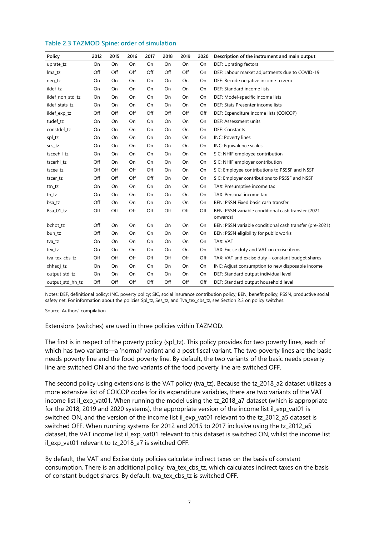#### <span id="page-10-0"></span>**Table 2.3 TAZMOD Spine: order of simulation**

| Policy           | 2012 | 2015 | 2016 | 2017 | 2018 | 2019      | 2020 | Description of the instrument and main output                  |  |  |
|------------------|------|------|------|------|------|-----------|------|----------------------------------------------------------------|--|--|
| uprate_tz        | On   | On   | On   | On   | On   | On        | On   | DEF: Uprating factors                                          |  |  |
| lma_tz           | Off  | Off  | Off  | Off  | Off  | Off       | On   | DEF: Labour market adjustments due to COVID-19                 |  |  |
| neg_tz           | On   | On   | On   | On   | On   | On        | On   | DEF: Recode negative income to zero                            |  |  |
| ildef_tz         | On   | On   | On   | On   | On   | On        | On   | DEF: Standard income lists                                     |  |  |
| ildef_non_std_tz | On   | On   | On   | On   | On   | On        | On   | DEF: Model-specific income lists                               |  |  |
| ildef_stats_tz   | On   | On   | On   | On   | On   | On        | On   | DEF: Stats Presenter income lists                              |  |  |
| ildef_exp_tz     | Off  | Off  | Off  | Off  | Off  | Off       | Off  | DEF: Expenditure income lists (COICOP)                         |  |  |
| tudef_tz         | On   | On   | On   | On   | On   | On        | On   | DEF: Assessment units                                          |  |  |
| constdef tz      | On   | On   | On   | On   | On   | On        | On   | <b>DEF: Constants</b>                                          |  |  |
| spl_tz           | On   | On   | On   | On   | On   | On        | On   | INC: Poverty lines                                             |  |  |
| ses_tz           | On   | On   | On   | On   | On   | On        | On   | INC: Equivalence scales                                        |  |  |
| tsceehll tz      | On   | On   | On   | On   | On   | On        | On   | SIC: NHIF employee contribution                                |  |  |
| tscerhl_tz       | Off  | On   | On   | On   | On   | On        | On   | SIC: NHIF employer contribution                                |  |  |
| tscee_tz         | Off  | Off  | Off  | Off  | On   | <b>On</b> | On   | SIC: Employee contributions to PSSSF and NSSF                  |  |  |
| tscer_tz         | Off  | Off  | Off  | Off  | On   | On        | On   | SIC: Employer contributions to PSSSF and NSSF                  |  |  |
| ttn_tz           | On   | On   | On   | On   | On   | On        | On   | TAX: Presumptive income tax                                    |  |  |
| tn_tz            | On   | On   | On   | On   | On   | On        | On   | TAX: Personal income tax                                       |  |  |
| bsa_tz           | Off  | On   | On   | On   | On   | On        | On   | BEN: PSSN Fixed basic cash transfer                            |  |  |
| Bsa_01_tz        | Off  | Off  | Off  | Off  | Off  | Off       | Off  | BEN: PSSN variable conditional cash transfer (2021<br>onwards) |  |  |
| bchot_tz         | Off  | On   | On   | On   | On   | On        | On   | BEN: PSSN variable conditional cash transfer (pre-2021)        |  |  |
| bun_tz           | Off  | On   | On   | On   | On   | On        | On   | BEN: PSSN eligibility for public works                         |  |  |
| tva_tz           | On   | On   | On   | On   | On   | On        | On   | TAX: VAT                                                       |  |  |
| tex_tz           | On   | On   | On   | On   | On   | On        | On   | TAX: Excise duty and VAT on excise items                       |  |  |
| tva_tex_cbs_tz   | Off  | Off  | Off  | Off  | Off  | Off       | Off  | TAX: VAT and excise duty - constant budget shares              |  |  |
| xhhadj_tz        | On   | On   | On   | On   | On   | On        | On   | INC: Adjust consumption to new disposable income               |  |  |
| output_std_tz    | On   | On   | On   | On   | On   | On        | On   | DEF: Standard output individual level                          |  |  |
| output_std_hh_tz | Off  | Off  | Off  | Off  | Off  | Off       | Off  | DEF: Standard output household level                           |  |  |

Notes: DEF, definitional policy; INC, poverty policy; SIC, social insurance contribution policy; BEN, benefit policy; PSSN, productive social safety net. For information about the policies Spl\_tz, Ses\_tz, and Tva\_tex\_cbs\_tz, see Section 2.3 on policy switches.

Source: Authors' compilation

Extensions (switches) are used in three policies within TAZMOD.

The first is in respect of the poverty policy (spl\_tz). This policy provides for two poverty lines, each of which has two variants—a 'normal' variant and a post fiscal variant. The two poverty lines are the basic needs poverty line and the food poverty line. By default, the two variants of the basic needs poverty line are switched ON and the two variants of the food poverty line are switched OFF.

The second policy using extensions is the VAT policy (tva\_tz). Because the tz\_2018\_a2 dataset utilizes a more extensive list of COICOP codes for its expenditure variables, there are two variants of the VAT income list il exp vat01. When running the model using the tz 2018 a7 dataset (which is appropriate for the 2018, 2019 and 2020 systems), the appropriate version of the income list il exp vat01 is switched ON, and the version of the income list il\_exp\_vat01 relevant to the tz\_2012\_a5 dataset is switched OFF. When running systems for 2012 and 2015 to 2017 inclusive using the tz\_2012\_a5 dataset, the VAT income list il\_exp\_vat01 relevant to this dataset is switched ON, whilst the income list il exp\_vat01 relevant to tz\_2018\_a7 is switched OFF.

By default, the VAT and Excise duty policies calculate indirect taxes on the basis of constant consumption. There is an additional policy, tva\_tex\_cbs\_tz, which calculates indirect taxes on the basis of constant budget shares. By default, tva\_tex\_cbs\_tz is switched OFF.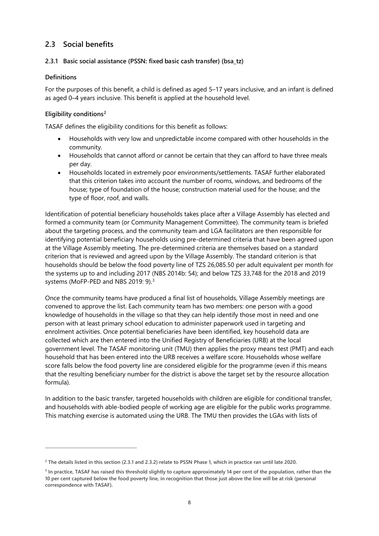# <span id="page-11-0"></span>**2.3 Social benefits**

#### **2.3.1 Basic social assistance (PSSN: fixed basic cash transfer) (bsa\_tz)**

#### **Definitions**

For the purposes of this benefit, a child is defined as aged 5–17 years inclusive, and an infant is defined as aged 0–4 years inclusive. This benefit is applied at the household level.

#### **Eligibility conditions[2](#page-11-1)**

TASAF defines the eligibility conditions for this benefit as follows:

- Households with very low and unpredictable income compared with other households in the community.
- Households that cannot afford or cannot be certain that they can afford to have three meals per day.
- Households located in extremely poor environments/settlements. TASAF further elaborated that this criterion takes into account the number of rooms, windows, and bedrooms of the house; type of foundation of the house; construction material used for the house; and the type of floor, roof, and walls.

Identification of potential beneficiary households takes place after a Village Assembly has elected and formed a community team (or Community Management Committee). The community team is briefed about the targeting process, and the community team and LGA facilitators are then responsible for identifying potential beneficiary households using pre-determined criteria that have been agreed upon at the Village Assembly meeting. The pre-determined criteria are themselves based on a standard criterion that is reviewed and agreed upon by the Village Assembly. The standard criterion is that households should be below the food poverty line of TZS 26,085.50 per adult equivalent per month for the systems up to and including 2017 (NBS 2014b: 54); and below TZS 33,748 for the 2018 and 2019 systems (MoFP-PED and NBS 2019: 9).[3](#page-11-2)

Once the community teams have produced a final list of households, Village Assembly meetings are convened to approve the list. Each community team has two members: one person with a good knowledge of households in the village so that they can help identify those most in need and one person with at least primary school education to administer paperwork used in targeting and enrolment activities. Once potential beneficiaries have been identified, key household data are collected which are then entered into the Unified Registry of Beneficiaries (URB) at the local government level. The TASAF monitoring unit (TMU) then applies the proxy means test (PMT) and each household that has been entered into the URB receives a welfare score. Households whose welfare score falls below the food poverty line are considered eligible for the programme (even if this means that the resulting beneficiary number for the district is above the target set by the resource allocation formula).

In addition to the basic transfer, targeted households with children are eligible for conditional transfer, and households with able-bodied people of working age are eligible for the public works programme. This matching exercise is automated using the URB. The TMU then provides the LGAs with lists of

<span id="page-11-1"></span>**<sup>2</sup> The details listed in this section (2.3.1 and 2.3.2) relate to PSSN Phase 1, which in practice ran until late 2020.** 

<span id="page-11-2"></span>**<sup>3</sup> In practice, TASAF has raised this threshold slightly to capture approximately 14 per cent of the population, rather than the 10 per cent captured below the food poverty line, in recognition that those just above the line will be at risk (personal correspondence with TASAF).**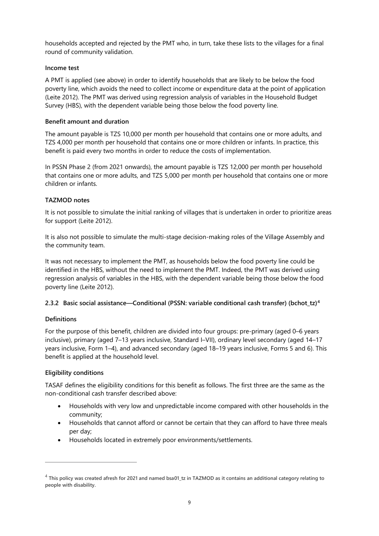households accepted and rejected by the PMT who, in turn, take these lists to the villages for a final round of community validation.

#### **Income test**

A PMT is applied (see above) in order to identify households that are likely to be below the food poverty line, which avoids the need to collect income or expenditure data at the point of application (Leite 2012). The PMT was derived using regression analysis of variables in the Household Budget Survey (HBS), with the dependent variable being those below the food poverty line.

#### **Benefit amount and duration**

The amount payable is TZS 10,000 per month per household that contains one or more adults, and TZS 4,000 per month per household that contains one or more children or infants. In practice, this benefit is paid every two months in order to reduce the costs of implementation.

In PSSN Phase 2 (from 2021 onwards), the amount payable is TZS 12,000 per month per household that contains one or more adults, and TZS 5,000 per month per household that contains one or more children or infants.

#### **TAZMOD notes**

It is not possible to simulate the initial ranking of villages that is undertaken in order to prioritize areas for support (Leite 2012).

It is also not possible to simulate the multi-stage decision-making roles of the Village Assembly and the community team.

It was not necessary to implement the PMT, as households below the food poverty line could be identified in the HBS, without the need to implement the PMT. Indeed, the PMT was derived using regression analysis of variables in the HBS, with the dependent variable being those below the food poverty line (Leite 2012).

#### **2.3.2 Basic social assistance—Conditional (PSSN: variable conditional cash transfer) (bchot\_tz)[4](#page-12-0)**

#### **Definitions**

For the purpose of this benefit, children are divided into four groups: pre-primary (aged 0–6 years inclusive), primary (aged 7–13 years inclusive, Standard I–VII), ordinary level secondary (aged 14–17 years inclusive, Form 1–4), and advanced secondary (aged 18–19 years inclusive, Forms 5 and 6). This benefit is applied at the household level.

#### **Eligibility conditions**

TASAF defines the eligibility conditions for this benefit as follows. The first three are the same as the non-conditional cash transfer described above:

- Households with very low and unpredictable income compared with other households in the community;
- Households that cannot afford or cannot be certain that they can afford to have three meals per day;
- Households located in extremely poor environments/settlements.

<span id="page-12-0"></span><sup>4</sup> **This policy was created afresh for 2021 and named bsa01\_tz in TAZMOD as it contains an additional category relating to people with disability.**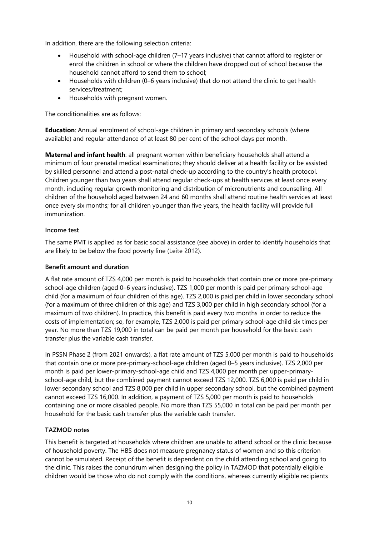In addition, there are the following selection criteria:

- Household with school-age children (7–17 years inclusive) that cannot afford to register or enrol the children in school or where the children have dropped out of school because the household cannot afford to send them to school;
- Households with children (0–6 years inclusive) that do not attend the clinic to get health services/treatment;
- Households with pregnant women.

The conditionalities are as follows:

**Education**: Annual enrolment of school-age children in primary and secondary schools (where available) and regular attendance of at least 80 per cent of the school days per month.

**Maternal and infant health**: all pregnant women within beneficiary households shall attend a minimum of four prenatal medical examinations; they should deliver at a health facility or be assisted by skilled personnel and attend a post-natal check-up according to the country's health protocol. Children younger than two years shall attend regular check-ups at health services at least once every month, including regular growth monitoring and distribution of micronutrients and counselling. All children of the household aged between 24 and 60 months shall attend routine health services at least once every six months; for all children younger than five years, the health facility will provide full immunization.

#### **Income test**

The same PMT is applied as for basic social assistance (see above) in order to identify households that are likely to be below the food poverty line (Leite 2012).

#### **Benefit amount and duration**

A flat rate amount of TZS 4,000 per month is paid to households that contain one or more pre-primary school-age children (aged 0–6 years inclusive). TZS 1,000 per month is paid per primary school-age child (for a maximum of four children of this age). TZS 2,000 is paid per child in lower secondary school (for a maximum of three children of this age) and TZS 3,000 per child in high secondary school (for a maximum of two children). In practice, this benefit is paid every two months in order to reduce the costs of implementation; so, for example, TZS 2,000 is paid per primary school-age child six times per year. No more than TZS 19,000 in total can be paid per month per household for the basic cash transfer plus the variable cash transfer.

In PSSN Phase 2 (from 2021 onwards), a flat rate amount of TZS 5,000 per month is paid to households that contain one or more pre-primary-school-age children (aged 0–5 years inclusive). TZS 2,000 per month is paid per lower-primary-school-age child and TZS 4,000 per month per upper-primaryschool-age child, but the combined payment cannot exceed TZS 12,000. TZS 6,000 is paid per child in lower secondary school and TZS 8,000 per child in upper secondary school, but the combined payment cannot exceed TZS 16,000. In addition, a payment of TZS 5,000 per month is paid to households containing one or more disabled people. No more than TZS 55,000 in total can be paid per month per household for the basic cash transfer plus the variable cash transfer.

#### **TAZMOD notes**

This benefit is targeted at households where children are unable to attend school or the clinic because of household poverty. The HBS does not measure pregnancy status of women and so this criterion cannot be simulated. Receipt of the benefit is dependent on the child attending school and going to the clinic. This raises the conundrum when designing the policy in TAZMOD that potentially eligible children would be those who do not comply with the conditions, whereas currently eligible recipients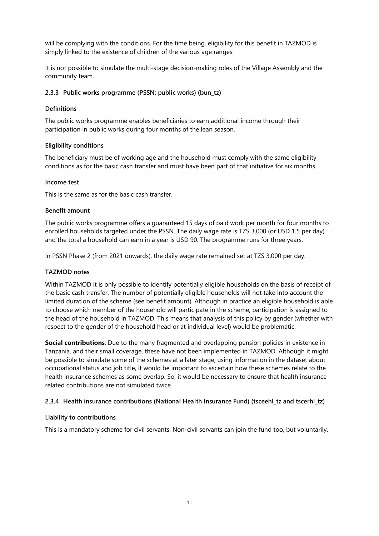will be complying with the conditions. For the time being, eligibility for this benefit in TAZMOD is simply linked to the existence of children of the various age ranges.

It is not possible to simulate the multi-stage decision-making roles of the Village Assembly and the community team.

#### **2.3.3 Public works programme (PSSN: public works) (bun\_tz)**

#### **Definitions**

The public works programme enables beneficiaries to earn additional income through their participation in public works during four months of the lean season.

#### **Eligibility conditions**

The beneficiary must be of working age and the household must comply with the same eligibility conditions as for the basic cash transfer and must have been part of that initiative for six months.

#### **Income test**

This is the same as for the basic cash transfer.

#### **Benefit amount**

The public works programme offers a guaranteed 15 days of paid work per month for four months to enrolled households targeted under the PSSN. The daily wage rate is TZS 3,000 (or USD 1.5 per day) and the total a household can earn in a year is USD 90. The programme runs for three years.

In PSSN Phase 2 (from 2021 onwards), the daily wage rate remained set at TZS 3,000 per day.

#### **TAZMOD notes**

Within TAZMOD it is only possible to identify potentially eligible households on the basis of receipt of the basic cash transfer. The number of potentially eligible households will not take into account the limited duration of the scheme (see benefit amount). Although in practice an eligible household is able to choose which member of the household will participate in the scheme, participation is assigned to the head of the household in TAZMOD. This means that analysis of this policy by gender (whether with respect to the gender of the household head or at individual level) would be problematic.

**Social contributions**: Due to the many fragmented and overlapping pension policies in existence in Tanzania, and their small coverage, these have not been implemented in TAZMOD. Although it might be possible to simulate some of the schemes at a later stage, using information in the dataset about occupational status and job title, it would be important to ascertain how these schemes relate to the health insurance schemes as some overlap. So, it would be necessary to ensure that health insurance related contributions are not simulated twice.

#### **2.3.4 Health insurance contributions (National Health Insurance Fund) (tsceehl\_tz and tscerhl\_tz)**

#### **Liability to contributions**

This is a mandatory scheme for civil servants. Non-civil servants can join the fund too, but voluntarily.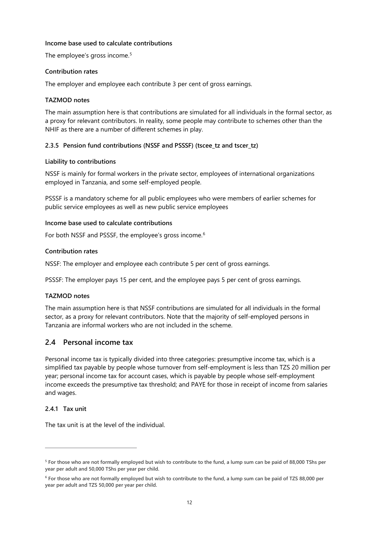#### **Income base used to calculate contributions**

The employee's gross income.<sup>[5](#page-15-1)</sup>

#### **Contribution rates**

The employer and employee each contribute 3 per cent of gross earnings.

#### **TAZMOD notes**

The main assumption here is that contributions are simulated for all individuals in the formal sector, as a proxy for relevant contributors. In reality, some people may contribute to schemes other than the NHIF as there are a number of different schemes in play.

#### **2.3.5 Pension fund contributions (NSSF and PSSSF) (tscee\_tz and tscer\_tz)**

#### **Liability to contributions**

NSSF is mainly for formal workers in the private sector, employees of international organizations employed in Tanzania, and some self-employed people.

PSSSF is a mandatory scheme for all public employees who were members of earlier schemes for public service employees as well as new public service employees

#### **Income base used to calculate contributions**

For both NSSF and PSSSF, the employee's gross income.[6](#page-15-2)

#### **Contribution rates**

NSSF: The employer and employee each contribute 5 per cent of gross earnings.

PSSSF: The employer pays 15 per cent, and the employee pays 5 per cent of gross earnings.

#### **TAZMOD notes**

The main assumption here is that NSSF contributions are simulated for all individuals in the formal sector, as a proxy for relevant contributors. Note that the majority of self-employed persons in Tanzania are informal workers who are not included in the scheme.

# <span id="page-15-0"></span>**2.4 Personal income tax**

Personal income tax is typically divided into three categories: presumptive income tax, which is a simplified tax payable by people whose turnover from self-employment is less than TZS 20 million per year; personal income tax for account cases, which is payable by people whose self-employment income exceeds the presumptive tax threshold; and PAYE for those in receipt of income from salaries and wages.

#### **2.4.1 Tax unit**

The tax unit is at the level of the individual.

<span id="page-15-1"></span>**<sup>5</sup> For those who are not formally employed but wish to contribute to the fund, a lump sum can be paid of 88,000 TShs per year per adult and 50,000 TShs per year per child.**

<span id="page-15-2"></span>**<sup>6</sup> For those who are not formally employed but wish to contribute to the fund, a lump sum can be paid of TZS 88,000 per year per adult and TZS 50,000 per year per child.**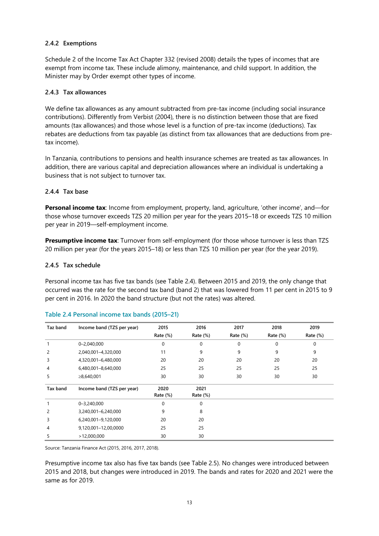#### **2.4.2 Exemptions**

Schedule 2 of the Income Tax Act Chapter 332 (revised 2008) details the types of incomes that are exempt from income tax. These include alimony, maintenance, and child support. In addition, the Minister may by Order exempt other types of income.

#### **2.4.3 Tax allowances**

We define tax allowances as any amount subtracted from pre-tax income (including social insurance contributions). Differently from Verbist (2004), there is no distinction between those that are fixed amounts (tax allowances) and those whose level is a function of pre-tax income (deductions). Tax rebates are deductions from tax payable (as distinct from tax allowances that are deductions from pretax income).

In Tanzania, contributions to pensions and health insurance schemes are treated as tax allowances. In addition, there are various capital and depreciation allowances where an individual is undertaking a business that is not subject to turnover tax.

#### **2.4.4 Tax base**

**Personal income tax**: Income from employment, property, land, agriculture, 'other income', and—for those whose turnover exceeds TZS 20 million per year for the years 2015–18 or exceeds TZS 10 million per year in 2019—self-employment income.

**Presumptive income tax**: Turnover from self-employment (for those whose turnover is less than TZS 20 million per year (for the years 2015–18) or less than TZS 10 million per year (for the year 2019).

#### **2.4.5 Tax schedule**

Personal income tax has five tax bands (see Table 2.4). Between 2015 and 2019, the only change that occurred was the rate for the second tax band (band 2) that was lowered from 11 per cent in 2015 to 9 per cent in 2016. In 2020 the band structure (but not the rates) was altered.

| Taz band | Income band (TZS per year) | 2015        | 2016        | 2017         | 2018        | 2019        |
|----------|----------------------------|-------------|-------------|--------------|-------------|-------------|
|          |                            | Rate $(\%)$ | Rate $(\%)$ | Rate $(\%)$  | Rate $(\%)$ | Rate $(\%)$ |
|          | $0 - 2,040,000$            | 0           | $\mathbf 0$ | $\mathbf{0}$ | $\Omega$    | $\Omega$    |
| 2        | 2,040,001-4,320,000        | 11          | 9           | 9            | 9           | 9           |
| 3        | 4,320,001-6,480,000        | 20          | 20          | 20           | 20          | 20          |
| 4        | 6,480,001-8,640,000        | 25          | 25          | 25           | 25          | 25          |
| 5        | ≥8,640,001                 | 30          | 30          | 30           | 30          | 30          |
| Tax band | Income band (TZS per year) | 2020        | 2021        |              |             |             |
|          |                            | Rate $(\%)$ | Rate (%)    |              |             |             |
|          | 0-3,240,000                | 0           | $\mathbf 0$ |              |             |             |
| 2        | 3,240,001-6,240,000        | 9           | 8           |              |             |             |
| 3        | 6,240,001-9,120,000        | 20          | 20          |              |             |             |
| 4        | 9,120,001-12,00,0000       | 25          | 25          |              |             |             |
| 5        | >12,000,000                | 30          | 30          |              |             |             |

#### <span id="page-16-0"></span>**Table 2.4 Personal income tax bands (2015–21)**

Source: Tanzania Finance Act (2015, 2016, 2017, 2018).

Presumptive income tax also has five tax bands (see Table 2.5). No changes were introduced between 2015 and 2018, but changes were introduced in 2019. The bands and rates for 2020 and 2021 were the same as for 2019.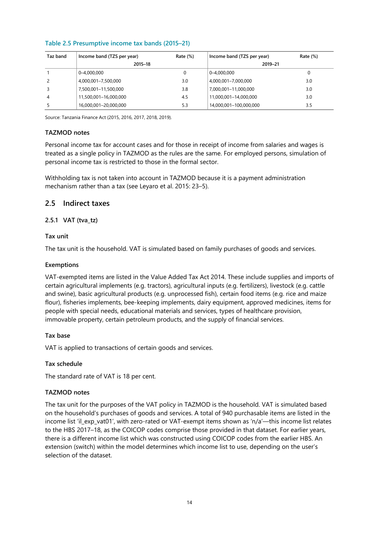| Taz band | Income band (TZS per year) | Rate $(\%)$ | Income band (TZS per year) | Rate $(\%)$ |  |  |
|----------|----------------------------|-------------|----------------------------|-------------|--|--|
|          | 2015-18                    |             | 2019-21                    |             |  |  |
|          | $ 0 - 4,000,000 $          | 0           | 0-4.000.000                | 0           |  |  |
|          | 4,000,001-7,500,000        | 3.0         | 4,000,001-7,000,000        | 3.0         |  |  |
|          | 7,500,001-11,500,000       | 3.8         | 7,000,001-11,000,000       | 3.0         |  |  |
| 4        | 11,500,001-16,000,000      | 4.5         | 11,000,001-14,000,000      | 3.0         |  |  |
|          | 16,000,001-20,000,000      | 5.3         | 14.000.001-100.000.000     | 3.5         |  |  |

#### <span id="page-17-1"></span>**Table 2.5 Presumptive income tax bands (2015–21)**

Source: Tanzania Finance Act (2015, 2016, 2017, 2018, 2019).

#### **TAZMOD notes**

Personal income tax for account cases and for those in receipt of income from salaries and wages is treated as a single policy in TAZMOD as the rules are the same. For employed persons, simulation of personal income tax is restricted to those in the formal sector.

Withholding tax is not taken into account in TAZMOD because it is a payment administration mechanism rather than a tax (see Leyaro et al. 2015: 23–5).

#### <span id="page-17-0"></span>**2.5 Indirect taxes**

#### **2.5.1 VAT (tva\_tz)**

#### **Tax unit**

The tax unit is the household. VAT is simulated based on family purchases of goods and services.

#### **Exemptions**

VAT-exempted items are listed in the Value Added Tax Act 2014. These include supplies and imports of certain agricultural implements (e.g. tractors), agricultural inputs (e.g. fertilizers), livestock (e.g. cattle and swine), basic agricultural products (e.g. unprocessed fish), certain food items (e.g. rice and maize flour), fisheries implements, bee-keeping implements, dairy equipment, approved medicines, items for people with special needs, educational materials and services, types of healthcare provision, immovable property, certain petroleum products, and the supply of financial services.

#### **Tax base**

VAT is applied to transactions of certain goods and services.

#### **Tax schedule**

The standard rate of VAT is 18 per cent.

#### **TAZMOD notes**

The tax unit for the purposes of the VAT policy in TAZMOD is the household. VAT is simulated based on the household's purchases of goods and services. A total of 940 purchasable items are listed in the income list 'il\_exp\_vat01', with zero-rated or VAT-exempt items shown as 'n/a'—this income list relates to the HBS 2017–18, as the COICOP codes comprise those provided in that dataset. For earlier years, there is a different income list which was constructed using COICOP codes from the earlier HBS. An extension (switch) within the model determines which income list to use, depending on the user's selection of the dataset.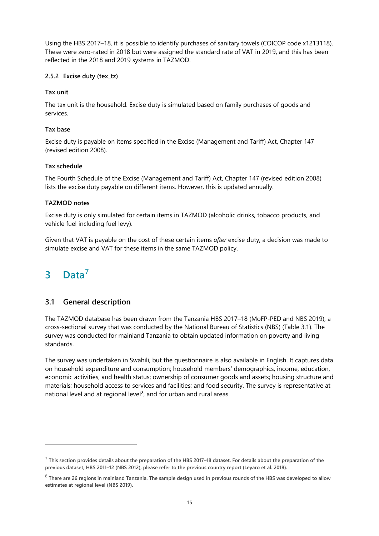Using the HBS 2017–18, it is possible to identify purchases of sanitary towels (COICOP code x1213118). These were zero-rated in 2018 but were assigned the standard rate of VAT in 2019, and this has been reflected in the 2018 and 2019 systems in TAZMOD.

#### **2.5.2 Excise duty (tex\_tz)**

#### **Tax unit**

The tax unit is the household. Excise duty is simulated based on family purchases of goods and services.

#### **Tax base**

Excise duty is payable on items specified in the Excise (Management and Tariff) Act, Chapter 147 (revised edition 2008).

### **Tax schedule**

The Fourth Schedule of the Excise (Management and Tariff) Act, Chapter 147 (revised edition 2008) lists the excise duty payable on different items. However, this is updated annually.

#### **TAZMOD notes**

Excise duty is only simulated for certain items in TAZMOD (alcoholic drinks, tobacco products, and vehicle fuel including fuel levy).

Given that VAT is payable on the cost of these certain items *after* excise duty, a decision was made to simulate excise and VAT for these items in the same TAZMOD policy.

# <span id="page-18-0"></span>**3 Data[7](#page-18-2)**

# <span id="page-18-1"></span>**3.1 General description**

The TAZMOD database has been drawn from the Tanzania HBS 2017–18 (MoFP-PED and NBS 2019), a cross-sectional survey that was conducted by the National Bureau of Statistics (NBS) (Table 3.1). The survey was conducted for mainland Tanzania to obtain updated information on poverty and living standards.

The survey was undertaken in Swahili, but the questionnaire is also available in English. It captures data on household expenditure and consumption; household members' demographics, income, education, economic activities, and health status; ownership of consumer goods and assets; housing structure and materials; household access to services and facilities; and food security. The survey is representative at national level and at regional level<sup>[8](#page-18-3)</sup>, and for urban and rural areas.

<span id="page-18-2"></span><sup>7</sup> **This section provides details about the preparation of the HBS 2017–18 dataset. For details about the preparation of the previous dataset, HBS 2011–12 (NBS 2012), please refer to the previous country report (Leyaro et al. 2018).** 

<span id="page-18-3"></span><sup>8</sup> **There are 26 regions in mainland Tanzania. The sample design used in previous rounds of the HBS was developed to allow estimates at regional level (NBS 2019).**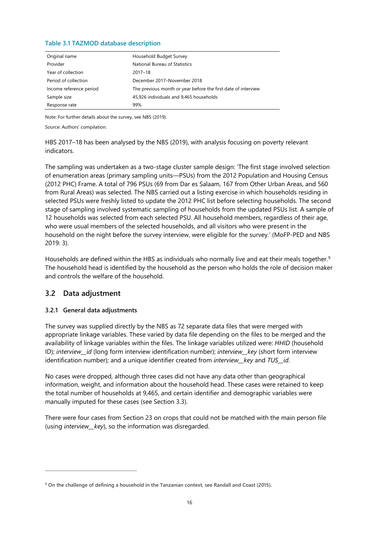#### <span id="page-19-1"></span>**Table 3.1 TAZMOD database description**

| Original name           | Household Budget Survey                                       |
|-------------------------|---------------------------------------------------------------|
| Provider                | National Bureau of Statistics                                 |
| Year of collection      | $2017 - 18$                                                   |
| Period of collection    | December 2017-November 2018                                   |
| Income reference period | The previous month or year before the first date of interview |
| Sample size             | 45,926 individuals and 9,465 households                       |
| Response rate           | 99%                                                           |

Note: For further details about the survey, see NBS (2019).

Source: Authors' compilation.

HBS 2017–18 has been analysed by the NBS (2019), with analysis focusing on poverty relevant indicators.

The sampling was undertaken as a two-stage cluster sample design: 'The first stage involved selection of enumeration areas (primary sampling units—PSUs) from the 2012 Population and Housing Census (2012 PHC) Frame. A total of 796 PSUs (69 from Dar es Salaam, 167 from Other Urban Areas, and 560 from Rural Areas) was selected. The NBS carried out a listing exercise in which households residing in selected PSUs were freshly listed to update the 2012 PHC list before selecting households. The second stage of sampling involved systematic sampling of households from the updated PSUs list. A sample of 12 households was selected from each selected PSU. All household members, regardless of their age, who were usual members of the selected households, and all visitors who were present in the household on the night before the survey interview, were eligible for the survey.' (MoFP-PED and NBS 2019: 3).

Households are defined within the HBS as individuals who normally live and eat their meals together.<sup>[9](#page-19-2)</sup> The household head is identified by the household as the person who holds the role of decision maker and controls the welfare of the household.

# <span id="page-19-0"></span>**3.2 Data adjustment**

#### **3.2.1 General data adjustments**

The survey was supplied directly by the NBS as 72 separate data files that were merged with appropriate linkage variables. These varied by data file depending on the files to be merged and the availability of linkage variables within the files. The linkage variables utilized were: *HHID* (household ID); *interview\_\_id* (long form interview identification number); *interview\_\_key* (short form interview identification number); and a unique identifier created from *interview\_\_key* and *TUS\_\_id*.

No cases were dropped, although three cases did not have any data other than geographical information, weight, and information about the household head. These cases were retained to keep the total number of households at 9,465, and certain identifier and demographic variables were manually imputed for these cases (see Section 3.3).

There were four cases from Section 23 on crops that could not be matched with the main person file (using *interview\_\_key*), so the information was disregarded.

<span id="page-19-2"></span>**<sup>9</sup> On the challenge of defining a household in the Tanzanian context, see Randall and Coast (2015).**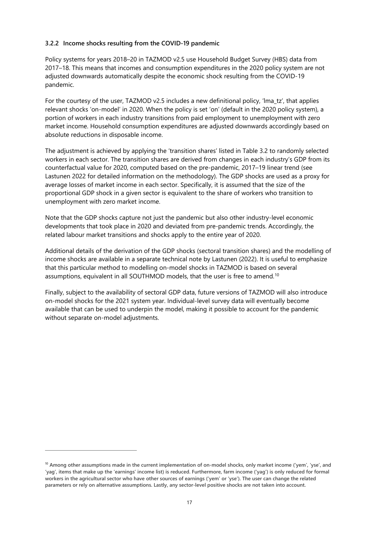#### **3.2.2 Income shocks resulting from the COVID-19 pandemic**

Policy systems for years 2018–20 in TAZMOD v2.5 use Household Budget Survey (HBS) data from 2017–18. This means that incomes and consumption expenditures in the 2020 policy system are not adjusted downwards automatically despite the economic shock resulting from the COVID-19 pandemic.

For the courtesy of the user, TAZMOD v2.5 includes a new definitional policy, 'lma\_tz', that applies relevant shocks 'on-model' in 2020. When the policy is set 'on' (default in the 2020 policy system), a portion of workers in each industry transitions from paid employment to unemployment with zero market income. Household consumption expenditures are adjusted downwards accordingly based on absolute reductions in disposable income.

The adjustment is achieved by applying the 'transition shares' listed in Table 3.2 to randomly selected workers in each sector. The transition shares are derived from changes in each industry's GDP from its counterfactual value for 2020, computed based on the pre-pandemic, 2017–19 linear trend (see Lastunen 2022 for detailed information on the methodology). The GDP shocks are used as a proxy for average losses of market income in each sector. Specifically, it is assumed that the size of the proportional GDP shock in a given sector is equivalent to the share of workers who transition to unemployment with zero market income.

Note that the GDP shocks capture not just the pandemic but also other industry-level economic developments that took place in 2020 and deviated from pre-pandemic trends. Accordingly, the related labour market transitions and shocks apply to the entire year of 2020.

Additional details of the derivation of the GDP shocks (sectoral transition shares) and the modelling of income shocks are available in a separate technical note by Lastunen (2022). It is useful to emphasize that this particular method to modelling on-model shocks in TAZMOD is based on several assumptions, equivalent in all SOUTHMOD models, that the user is free to amend.[10](#page-20-0)

Finally, subject to the availability of sectoral GDP data, future versions of TAZMOD will also introduce on-model shocks for the 2021 system year. Individual-level survey data will eventually become available that can be used to underpin the model, making it possible to account for the pandemic without separate on-model adjustments.

<span id="page-20-0"></span>**<sup>10</sup> Among other assumptions made in the current implementation of on-model shocks, only market income ('yem', 'yse', and 'yag', items that make up the 'earnings' income list) is reduced. Furthermore, farm income ('yag') is only reduced for formal workers in the agricultural sector who have other sources of earnings ('yem' or 'yse'). The user can change the related parameters or rely on alternative assumptions. Lastly, any sector-level positive shocks are not taken into account.**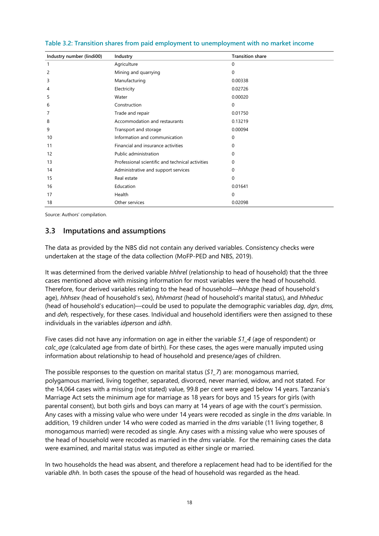| Industry number (lindi00) | Industry                                         | <b>Transition share</b> |
|---------------------------|--------------------------------------------------|-------------------------|
| $\mathbf{1}$              | Agriculture                                      | $\Omega$                |
| 2                         | Mining and quarrying                             | $\Omega$                |
| 3                         | Manufacturing                                    | 0.00338                 |
| 4                         | Electricity                                      | 0.02726                 |
| 5                         | Water                                            | 0.00020                 |
| 6                         | Construction                                     | 0                       |
| 7                         | Trade and repair                                 | 0.01750                 |
| 8                         | Accommodation and restaurants                    | 0.13219                 |
| 9                         | Transport and storage                            | 0.00094                 |
| 10                        | Information and communication                    | 0                       |
| 11                        | Financial and insurance activities               | 0                       |
| 12                        | Public administration                            | 0                       |
| 13                        | Professional scientific and technical activities | 0                       |
| 14                        | Administrative and support services              | 0                       |
| 15                        | Real estate                                      | $\Omega$                |
| 16                        | Education                                        | 0.01641                 |
| 17                        | Health                                           | 0                       |
| 18                        | Other services                                   | 0.02098                 |

<span id="page-21-1"></span>**Table 3.2: Transition shares from paid employment to unemployment with no market income**

Source: Authors' compilation.

# <span id="page-21-0"></span>**3.3 Imputations and assumptions**

The data as provided by the NBS did not contain any derived variables. Consistency checks were undertaken at the stage of the data collection (MoFP-PED and NBS, 2019).

It was determined from the derived variable *hhhrel* (relationship to head of household) that the three cases mentioned above with missing information for most variables were the head of household. Therefore, four derived variables relating to the head of household—*hhhage* (head of household's age), *hhhsex* (head of household's sex), *hhhmarst* (head of household's marital status), and *hhheduc* (head of household's education)—could be used to populate the demographic variables *dag*, *dgn*, *dms,* and *deh,* respectively, for these cases. Individual and household identifiers were then assigned to these individuals in the variables *idperson* and *idhh*.

Five cases did not have any information on age in either the variable *S1\_4* (age of respondent) or *calc\_age* (calculated age from date of birth). For these cases, the ages were manually imputed using information about relationship to head of household and presence/ages of children.

The possible responses to the question on marital status (*S1\_7*) are: monogamous married, polygamous married, living together, separated, divorced, never married, widow, and not stated. For the 14,064 cases with a missing (not stated) value, 99.8 per cent were aged below 14 years. Tanzania's Marriage Act sets the minimum age for marriage as 18 years for boys and 15 years for girls (with parental consent), but both girls and boys can marry at 14 years of age with the court's permission. Any cases with a missing value who were under 14 years were recoded as single in the *dms* variable. In addition, 19 children under 14 who were coded as married in the *dms* variable (11 living together, 8 monogamous married) were recoded as single. Any cases with a missing value who were spouses of the head of household were recoded as married in the *dms* variable. For the remaining cases the data were examined, and marital status was imputed as either single or married.

In two households the head was absent, and therefore a replacement head had to be identified for the variable *dhh*. In both cases the spouse of the head of household was regarded as the head.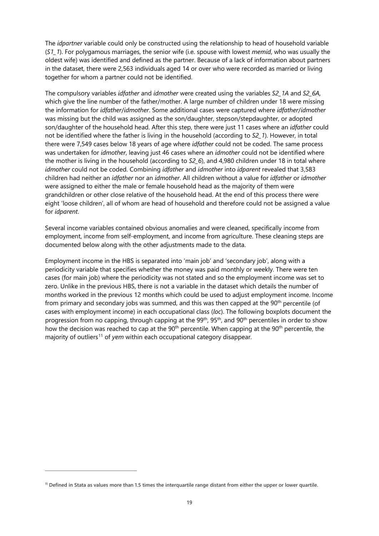The *idpartner* variable could only be constructed using the relationship to head of household variable (*S1\_1*). For polygamous marriages, the senior wife (i.e. spouse with lowest *memid*, who was usually the oldest wife) was identified and defined as the partner. Because of a lack of information about partners in the dataset, there were 2,563 individuals aged 14 or over who were recorded as married or living together for whom a partner could not be identified.

The compulsory variables *idfather* and *idmother* were created using the variables *S2\_1A* and *S2\_6A,* which give the line number of the father/mother. A large number of children under 18 were missing the information for *idfather*/*idmother*. Some additional cases were captured where *idfather*/*idmother* was missing but the child was assigned as the son/daughter, stepson/stepdaughter, or adopted son/daughter of the household head. After this step, there were just 11 cases where an *idfather* could not be identified where the father is living in the household (according to *S2\_1*). However, in total there were 7,549 cases below 18 years of age where *idfather* could not be coded. The same process was undertaken for *idmother*, leaving just 46 cases where an *idmother* could not be identified where the mother is living in the household (according to *S2\_6*), and 4,980 children under 18 in total where *idmother* could not be coded. Combining *idfather* and *idmother* into *idparent* revealed that 3,583 children had neither an *idfather* nor an *idmother*. All children without a value for *idfather* or *idmother* were assigned to either the male or female household head as the majority of them were grandchildren or other close relative of the household head. At the end of this process there were eight 'loose children', all of whom are head of household and therefore could not be assigned a value for *idparent*.

Several income variables contained obvious anomalies and were cleaned, specifically income from employment, income from self-employment, and income from agriculture. These cleaning steps are documented below along with the other adjustments made to the data.

Employment income in the HBS is separated into 'main job' and 'secondary job', along with a periodicity variable that specifies whether the money was paid monthly or weekly. There were ten cases (for main job) where the periodicity was not stated and so the employment income was set to zero. Unlike in the previous HBS, there is not a variable in the dataset which details the number of months worked in the previous 12 months which could be used to adjust employment income. Income from primary and secondary jobs was summed, and this was then capped at the 90<sup>th</sup> percentile (of cases with employment income) in each occupational class (*loc*). The following boxplots document the progression from no capping, through capping at the 99<sup>th</sup>, 95<sup>th</sup>, and 90<sup>th</sup> percentiles in order to show how the decision was reached to cap at the  $90<sup>th</sup>$  percentile. When capping at the  $90<sup>th</sup>$  percentile, the majority of outliers<sup>[11](#page-22-0)</sup> of *yem* within each occupational category disappear.

<span id="page-22-0"></span>**<sup>11</sup> Defined in Stata as values more than 1.5 times the interquartile range distant from either the upper or lower quartile.**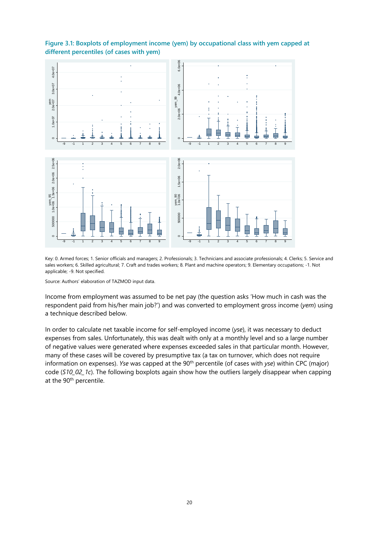

### <span id="page-23-0"></span>**Figure 3.1: Boxplots of employment income (yem) by occupational class with yem capped at different percentiles (of cases with yem)**

Key: 0. Armed forces; 1. Senior officials and managers; 2. Professionals; 3. Technicians and associate professionals; 4. Clerks; 5. Service and sales workers; 6. Skilled agricultural; 7. Craft and trades workers; 8. Plant and machine operators; 9. Elementary occupations; -1. Not applicable; -9. Not specified.

Source: Authors' elaboration of TAZMOD input data.

Income from employment was assumed to be net pay (the question asks 'How much in cash was the respondent paid from his/her main job?') and was converted to employment gross income (*yem*) using a technique described below.

In order to calculate net taxable income for self-employed income (*yse*), it was necessary to deduct expenses from sales. Unfortunately, this was dealt with only at a monthly level and so a large number of negative values were generated where expenses exceeded sales in that particular month. However, many of these cases will be covered by presumptive tax (a tax on turnover, which does not require information on expenses). *Yse* was capped at the 90<sup>th</sup> percentile (of cases with *yse*) within CPC (major) code (*S10\_02\_1c*). The following boxplots again show how the outliers largely disappear when capping at the 90<sup>th</sup> percentile.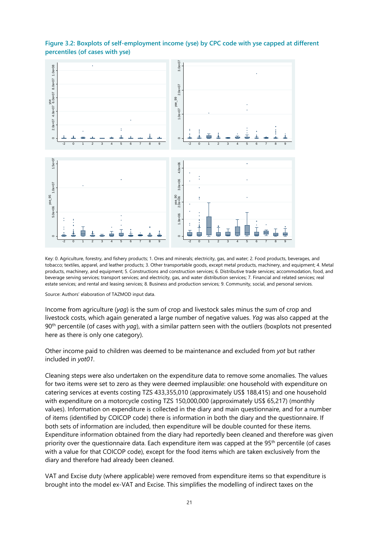

<span id="page-24-0"></span>**Figure 3.2: Boxplots of self-employment income (yse) by CPC code with yse capped at different percentiles (of cases with yse)**

Key: 0. Agriculture, forestry, and fishery products; 1. Ores and minerals; electricity, gas, and water; 2. Food products, beverages, and tobacco; textiles, apparel, and leather products; 3. Other transportable goods, except metal products, machinery, and equipment; 4. Metal products, machinery, and equipment; 5. Constructions and construction services; 6. Distributive trade services; accommodation, food, and beverage serving services; transport services; and electricity, gas, and water distribution services; 7. Financial and related services; real estate services; and rental and leasing services; 8. Business and production services; 9. Community, social, and personal services.

Source: Authors' elaboration of TAZMOD input data.

Income from agriculture (*yag*) is the sum of crop and livestock sales minus the sum of crop and livestock costs, which again generated a large number of negative values. *Yag* was also capped at the 90<sup>th</sup> percentile (of cases with *yag*), with a similar pattern seen with the outliers (boxplots not presented here as there is only one category).

Other income paid to children was deemed to be maintenance and excluded from *yot* but rather included in *yot01*.

Cleaning steps were also undertaken on the expenditure data to remove some anomalies. The values for two items were set to zero as they were deemed implausible: one household with expenditure on catering services at events costing TZS 433,355,010 (approximately US\$ 188,415) and one household with expenditure on a motorcycle costing TZS 150,000,000 (approximately US\$ 65,217) (monthly values). Information on expenditure is collected in the diary and main questionnaire, and for a number of items (identified by COICOP code) there is information in both the diary and the questionnaire. If both sets of information are included, then expenditure will be double counted for these items. Expenditure information obtained from the diary had reportedly been cleaned and therefore was given priority over the questionnaire data. Each expenditure item was capped at the 95<sup>th</sup> percentile (of cases with a value for that COICOP code), except for the food items which are taken exclusively from the diary and therefore had already been cleaned.

VAT and Excise duty (where applicable) were removed from expenditure items so that expenditure is brought into the model ex-VAT and Excise. This simplifies the modelling of indirect taxes on the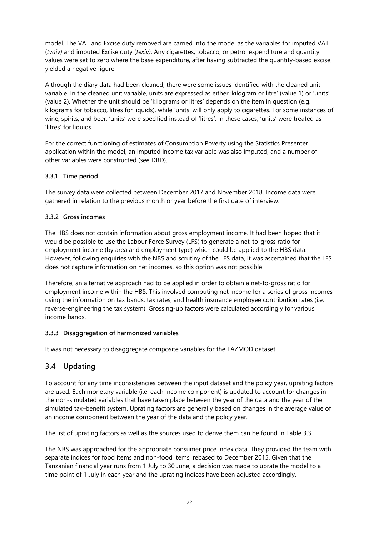model. The VAT and Excise duty removed are carried into the model as the variables for imputed VAT (*tvaiv)* and imputed Excise duty (*texiv)*. Any cigarettes, tobacco, or petrol expenditure and quantity values were set to zero where the base expenditure, after having subtracted the quantity-based excise, yielded a negative figure.

Although the diary data had been cleaned, there were some issues identified with the cleaned unit variable. In the cleaned unit variable, units are expressed as either 'kilogram or litre' (value 1) or 'units' (value 2). Whether the unit should be 'kilograms or litres' depends on the item in question (e.g. kilograms for tobacco, litres for liquids), while 'units' will only apply to cigarettes. For some instances of wine, spirits, and beer, 'units' were specified instead of 'litres'. In these cases, 'units' were treated as 'litres' for liquids.

For the correct functioning of estimates of Consumption Poverty using the Statistics Presenter application within the model, an imputed income tax variable was also imputed, and a number of other variables were constructed (see DRD).

### **3.3.1 Time period**

The survey data were collected between December 2017 and November 2018. Income data were gathered in relation to the previous month or year before the first date of interview.

### **3.3.2 Gross incomes**

The HBS does not contain information about gross employment income. It had been hoped that it would be possible to use the Labour Force Survey (LFS) to generate a net-to-gross ratio for employment income (by area and employment type) which could be applied to the HBS data. However, following enquiries with the NBS and scrutiny of the LFS data, it was ascertained that the LFS does not capture information on net incomes, so this option was not possible.

Therefore, an alternative approach had to be applied in order to obtain a net-to-gross ratio for employment income within the HBS. This involved computing net income for a series of gross incomes using the information on tax bands, tax rates, and health insurance employee contribution rates (i.e. reverse-engineering the tax system). Grossing-up factors were calculated accordingly for various income bands.

#### **3.3.3 Disaggregation of harmonized variables**

It was not necessary to disaggregate composite variables for the TAZMOD dataset.

# <span id="page-25-0"></span>**3.4 Updating**

To account for any time inconsistencies between the input dataset and the policy year, uprating factors are used. Each monetary variable (i.e. each income component) is updated to account for changes in the non-simulated variables that have taken place between the year of the data and the year of the simulated tax–benefit system. Uprating factors are generally based on changes in the average value of an income component between the year of the data and the policy year.

The list of uprating factors as well as the sources used to derive them can be found in Table 3.3.

The NBS was approached for the appropriate consumer price index data. They provided the team with separate indices for food items and non-food items, rebased to December 2015. Given that the Tanzanian financial year runs from 1 July to 30 June, a decision was made to uprate the model to a time point of 1 July in each year and the uprating indices have been adjusted accordingly.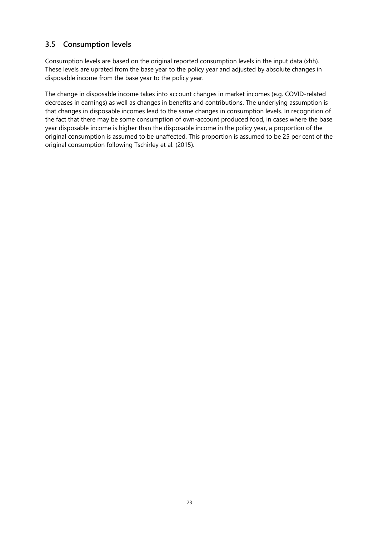# <span id="page-26-0"></span>**3.5 Consumption levels**

Consumption levels are based on the original reported consumption levels in the input data (xhh). These levels are uprated from the base year to the policy year and adjusted by absolute changes in disposable income from the base year to the policy year.

The change in disposable income takes into account changes in market incomes (e.g. COVID-related decreases in earnings) as well as changes in benefits and contributions. The underlying assumption is that changes in disposable incomes lead to the same changes in consumption levels. In recognition of the fact that there may be some consumption of own-account produced food, in cases where the base year disposable income is higher than the disposable income in the policy year, a proportion of the original consumption is assumed to be unaffected. This proportion is assumed to be 25 per cent of the original consumption following Tschirley et al. (2015).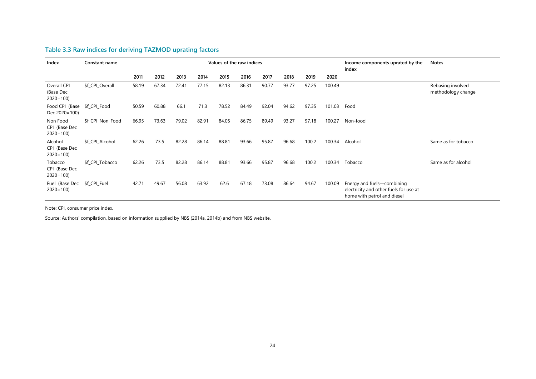| Index                                     | Constant name    | Values of the raw indices |       |       |       |       |       |       |       | Income components uprated by the<br>index | <b>Notes</b> |                                                                                                     |                                         |
|-------------------------------------------|------------------|---------------------------|-------|-------|-------|-------|-------|-------|-------|-------------------------------------------|--------------|-----------------------------------------------------------------------------------------------------|-----------------------------------------|
|                                           |                  | 2011                      | 2012  | 2013  | 2014  | 2015  | 2016  | 2017  | 2018  | 2019                                      | 2020         |                                                                                                     |                                         |
| Overall CPI<br>(Base Dec<br>$2020 = 100$  | \$f_CPI_Overall  | 58.19                     | 67.34 | 72.41 | 77.15 | 82.13 | 86.31 | 90.77 | 93.77 | 97.25                                     | 100.49       |                                                                                                     | Rebasing involved<br>methodology change |
| Food CPI (Base<br>Dec 2020=100)           | \$f_CPI_Food     | 50.59                     | 60.88 | 66.1  | 71.3  | 78.52 | 84.49 | 92.04 | 94.62 | 97.35                                     | 101.03       | Food                                                                                                |                                         |
| Non Food<br>CPI (Base Dec<br>$2020 = 100$ | \$f_CPI_Non_Food | 66.95                     | 73.63 | 79.02 | 82.91 | 84.05 | 86.75 | 89.49 | 93.27 | 97.18                                     | 100.27       | Non-food                                                                                            |                                         |
| Alcohol<br>CPI (Base Dec<br>$2020 = 100$  | \$f_CPI_Alcohol  | 62.26                     | 73.5  | 82.28 | 86.14 | 88.81 | 93.66 | 95.87 | 96.68 | 100.2                                     | 100.34       | Alcohol                                                                                             | Same as for tobacco                     |
| Tobacco<br>CPI (Base Dec<br>$2020 = 100$  | \$f CPI Tobacco  | 62.26                     | 73.5  | 82.28 | 86.14 | 88.81 | 93.66 | 95.87 | 96.68 | 100.2                                     | 100.34       | Tobacco                                                                                             | Same as for alcohol                     |
| Fuel (Base Dec<br>$2020 = 100$            | \$f_CPI_Fuel     | 42.71                     | 49.67 | 56.08 | 63.92 | 62.6  | 67.18 | 73.08 | 86.64 | 94.67                                     | 100.09       | Energy and fuels-combining<br>electricity and other fuels for use at<br>home with petrol and diesel |                                         |

# **Table 3.3 Raw indices for deriving TAZMOD uprating factors**

<span id="page-27-0"></span>Note: CPI, consumer price index.

Source: Authors' compilation, based on information supplied by NBS (2014a, 2014b) and from NBS website.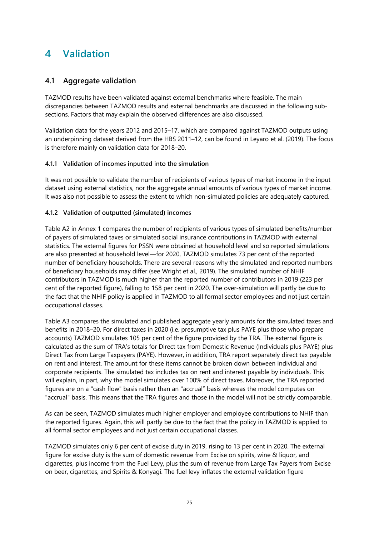# <span id="page-28-0"></span>**4 Validation**

# <span id="page-28-1"></span>**4.1 Aggregate validation**

TAZMOD results have been validated against external benchmarks where feasible. The main discrepancies between TAZMOD results and external benchmarks are discussed in the following subsections. Factors that may explain the observed differences are also discussed.

Validation data for the years 2012 and 2015–17, which are compared against TAZMOD outputs using an underpinning dataset derived from the HBS 2011–12, can be found in Leyaro et al. (2019). The focus is therefore mainly on validation data for 2018–20.

### **4.1.1 Validation of incomes inputted into the simulation**

It was not possible to validate the number of recipients of various types of market income in the input dataset using external statistics, nor the aggregate annual amounts of various types of market income. It was also not possible to assess the extent to which non-simulated policies are adequately captured.

#### **4.1.2 Validation of outputted (simulated) incomes**

Table A2 in Annex 1 compares the number of recipients of various types of simulated benefits/number of payers of simulated taxes or simulated social insurance contributions in TAZMOD with external statistics. The external figures for PSSN were obtained at household level and so reported simulations are also presented at household level—for 2020, TAZMOD simulates 73 per cent of the reported number of beneficiary households. There are several reasons why the simulated and reported numbers of beneficiary households may differ (see Wright et al., 2019). The simulated number of NHIF contributors in TAZMOD is much higher than the reported number of contributors in 2019 (223 per cent of the reported figure), falling to 158 per cent in 2020. The over-simulation will partly be due to the fact that the NHIF policy is applied in TAZMOD to all formal sector employees and not just certain occupational classes.

Table A3 compares the simulated and published aggregate yearly amounts for the simulated taxes and benefits in 2018–20. For direct taxes in 2020 (i.e. presumptive tax plus PAYE plus those who prepare accounts) TAZMOD simulates 105 per cent of the figure provided by the TRA. The external figure is calculated as the sum of TRA's totals for Direct tax from Domestic Revenue (Individuals plus PAYE) plus Direct Tax from Large Taxpayers (PAYE). However, in addition, TRA report separately direct tax payable on rent and interest. The amount for these items cannot be broken down between individual and corporate recipients. The simulated tax includes tax on rent and interest payable by individuals. This will explain, in part, why the model simulates over 100% of direct taxes. Moreover, the TRA reported figures are on a "cash flow" basis rather than an "accrual" basis whereas the model computes on "accrual" basis. This means that the TRA figures and those in the model will not be strictly comparable.

As can be seen, TAZMOD simulates much higher employer and employee contributions to NHIF than the reported figures. Again, this will partly be due to the fact that the policy in TAZMOD is applied to all formal sector employees and not just certain occupational classes.

TAZMOD simulates only 6 per cent of excise duty in 2019, rising to 13 per cent in 2020. The external figure for excise duty is the sum of domestic revenue from Excise on spirits, wine & liquor, and cigarettes, plus income from the Fuel Levy, plus the sum of revenue from Large Tax Payers from Excise on beer, cigarettes, and Spirits & Konyagi. The fuel levy inflates the external validation figure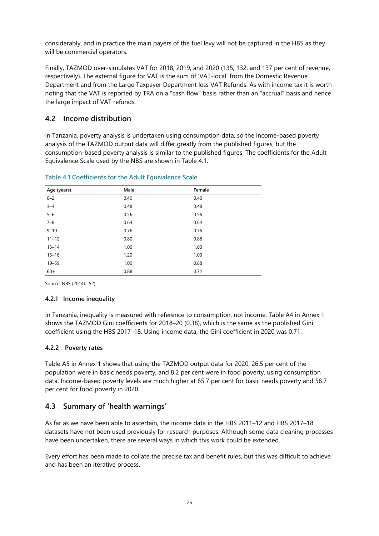considerably, and in practice the main payers of the fuel levy will not be captured in the HBS as they will be commercial operators.

Finally, TAZMOD over-simulates VAT for 2018, 2019, and 2020 (135, 132, and 137 per cent of revenue, respectively). The external figure for VAT is the sum of 'VAT-local' from the Domestic Revenue Department and from the Large Taxpayer Department less VAT Refunds. As with income tax it is worth noting that the VAT is reported by TRA on a "cash flow" basis rather than an "accrual" basis and hence the large impact of VAT refunds.

# <span id="page-29-0"></span>**4.2 Income distribution**

In Tanzania, poverty analysis is undertaken using consumption data, so the income-based poverty analysis of the TAZMOD output data will differ greatly from the published figures, but the consumption-based poverty analysis is similar to the published figures. The coefficients for the Adult Equivalence Scale used by the NBS are shown in Table 4.1.

| Age (years) | Male | Female |
|-------------|------|--------|
| $0 - 2$     | 0.40 | 0.40   |
| $3 - 4$     | 0.48 | 0.48   |
| $5 - 6$     | 0.56 | 0.56   |
| $7 - 8$     | 0.64 | 0.64   |
| $9 - 10$    | 0.76 | 0.76   |
| $11 - 12$   | 0.80 | 0.88   |
| $13 - 14$   | 1.00 | 1.00   |
| $15 - 18$   | 1.20 | 1.00   |
| $19 - 59$   | 1.00 | 0.88   |
| $60+$       | 0.88 | 0.72   |

<span id="page-29-2"></span>**Table 4.1 Coefficients for the Adult Equivalence Scale**

Source: NBS (2014b: 52).

#### **4.2.1 Income inequality**

In Tanzania, inequality is measured with reference to consumption, not income. Table A4 in Annex 1 shows the TAZMOD Gini coefficients for 2018–20 (0.38), which is the same as the published Gini coefficient using the HBS 2017–18. Using income data, the Gini coefficient in 2020 was 0.71.

#### **4.2.2 Poverty rates**

Table A5 in Annex 1 shows that using the TAZMOD output data for 2020, 26.5 per cent of the population were in basic needs poverty, and 8.2 per cent were in food poverty, using consumption data. Income-based poverty levels are much higher at 65.7 per cent for basic needs poverty and 58.7 per cent for food poverty in 2020.

# <span id="page-29-1"></span>**4.3 Summary of 'health warnings'**

As far as we have been able to ascertain, the income data in the HBS 2011–12 and HBS 2017–18 datasets have not been used previously for research purposes. Although some data cleaning processes have been undertaken, there are several ways in which this work could be extended.

Every effort has been made to collate the precise tax and benefit rules, but this was difficult to achieve and has been an iterative process.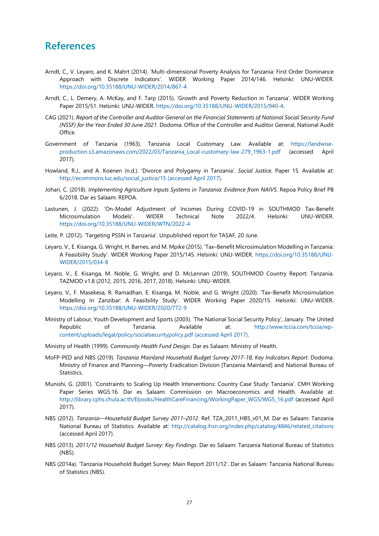# <span id="page-30-0"></span>**References**

- Arndt, C., V. Leyaro, and K. Mahrt (2014). 'Multi-dimensional Poverty Analysis for Tanzania: First Order Dominance Approach with Discrete Indicators'. WIDER Working Paper 2014/146. Helsinki: UNU-WIDER. <https://doi.org/10.35188/UNU-WIDER/2014/867-4>
- Arndt, C., L. Demery, A. McKay, and F. Tarp (2015). 'Growth and Poverty Reduction in Tanzania'. WIDER Working Paper 2015/51. Helsinki: UNU-WIDER. [https://doi.org/10.35188/UNU-WIDER/2015/940-4.](https://doi.org/10.35188/UNU-WIDER/2015/940-4)
- CAG (2021). *Report of the Controller and Auditor General on the Financial Statements of National Social Security Fund (NSSF) for the Year Ended 30 June 2021*. Dodoma: Office of the Controller and Auditor General, National Audit Office.
- Government of Tanzania (1963). Tanzania Local Customary Law. Available at: [https://landwise](https://landwise-production.s3.amazonaws.com/2022/03/Tanzania_Local-customary-law-279_1963-1.pdf)[production.s3.amazonaws.com/2022/03/Tanzania\\_Local-customary-law-279\\_1963-1.pdf](https://landwise-production.s3.amazonaws.com/2022/03/Tanzania_Local-customary-law-279_1963-1.pdf) (accessed April 2017).
- Howland, R.J., and A. Koenen (n.d.). 'Divorce and Polygamy in Tanzania'. *Social Justice*, Paper 15. Available at: [http://ecommons.luc.edu/social\\_justice/15](http://ecommons.luc.edu/social_justice/15) (accessed April 2017).
- Johari, C. (2018). *Implementing Agriculture Inputs Systems in Tanzania: Evidence from NAIVS*. Repoa Policy Brief PB 6/2018. Dar es Salaam: REPOA.
- Lastunen, J. (2022). 'On-Model Adjustment of Incomes During COVID-19 in SOUTHMOD Tax-Benefit Microsimulation Models'. WIDER Technical Note 2022/4. Helsinki: UNU-WIDER. <https://doi.org/10.35188/UNU-WIDER/WTN/2022-4>
- Leite, P. (2012). 'Targeting PSSN in Tanzania'. Unpublished report for TASAF, 20 June.
- Leyaro, V., E. Kisanga, G. Wright, H. Barnes, and M. Mpike (2015). 'Tax–Benefit Microsimulation Modelling in Tanzania: A Feasibility Study'. WIDER Working Paper 2015/145. Helsinki: UNU-WIDER. [https://doi.org/10.35188/UNU-](https://doi.org/10.35188/UNU-WIDER/2015/034-8)[WIDER/2015/034-8](https://doi.org/10.35188/UNU-WIDER/2015/034-8)
- Leyaro, V., E. Kisanga, M. Noble, G. Wright, and D. McLennan (2019). SOUTHMOD Country Report: Tanzania. TAZMOD v1.8 (2012, 2015, 2016, 2017, 2018). Helsinki: UNU-WIDER.
- Leyaro, V., F. Masekesa, R. Ramadhan, E. Kisanga, M. Noble, and G. Wright (2020). 'Tax–Benefit Microsimulation Modelling In Zanzibar: A Feasibility Study'. WIDER Working Paper 2020/15. Helsinki: UNU-WIDER. <https://doi.org/10.35188/UNU-WIDER/2020/772-9>
- Ministry of Labour, Youth Development and Sports (2003). 'The National Social Security Policy', January. The United Republic of Tanzania. Available at: [http://www.tccia.com/tccia/wp](http://www.tccia.com/tccia/wp-content/uploads/legal/policy/socialsecuritypolicy.pdf)[content/uploads/legal/policy/socialsecuritypolicy.pdf](http://www.tccia.com/tccia/wp-content/uploads/legal/policy/socialsecuritypolicy.pdf) (accessed April 2017).
- Ministry of Health (1999). *Community Health Fund Design*. Dar es Salaam: Ministry of Health.
- MoFP-PED and NBS (2019). *Tanzania Mainland Household Budget Survey 2017-18, Key Indicators Report*. Dodoma: Ministry of Finance and Planning—Poverty Eradication Division [Tanzania Mainland] and National Bureau of Statistics.
- Munishi, G. (2001). 'Constraints to Scaling Up Health Interventions: Country Case Study: Tanzania'. CMH Working Paper Series WG5:16. Dar es Salaam: Commission on Macroeconomics and Health. Available at: [http://library.cphs.chula.ac.th/Ebooks/HealthCareFinancing/WorkingPaper\\_WG5/WG5\\_16.pdf](http://library.cphs.chula.ac.th/Ebooks/HealthCareFinancing/WorkingPaper_WG5/WG5_16.pdf) (accessed April 2017).
- NBS (2012). *Tanzania—Household Budget Survey 2011–2012*. Ref. TZA\_2011\_HBS\_v01\_M. Dar es Salaam: Tanzania National Bureau of Statistics. Available at: [http://catalog.ihsn.org/index.php/catalog/4846/related\\_citations](http://catalog.ihsn.org/index.php/catalog/4846/related_citations) (accessed April 2017).
- NBS (2013). *2011/12 Household Budget Survey: Key Findings*. Dar es Salaam: Tanzania National Bureau of Statistics (NBS).
- NBS (2014a). 'Tanzania Household Budget Survey: Main Report 2011/12'. Dar es Salaam: Tanzania National Bureau of Statistics (NBS).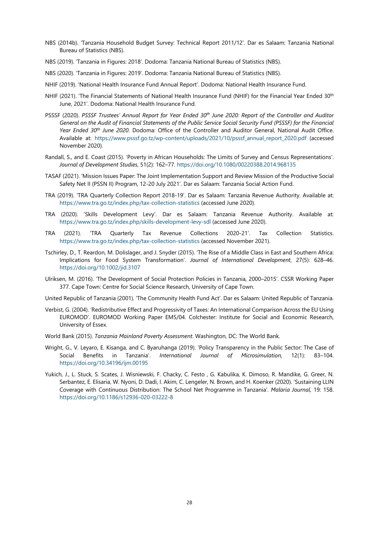- NBS (2014b). 'Tanzania Household Budget Survey: Technical Report 2011/12'. Dar es Salaam: Tanzania National Bureau of Statistics (NBS).
- NBS (2019). 'Tanzania in Figures: 2018'. Dodoma: Tanzania National Bureau of Statistics (NBS).
- NBS (2020). 'Tanzania in Figures: 2019'. Dodoma: Tanzania National Bureau of Statistics (NBS).
- NHIF (2019). 'National Health Insurance Fund Annual Report'. Dodoma: National Health Insurance Fund.
- NHIF (2021). 'The Financial Statements of National Health Insurance Fund (NHIF) for the Financial Year Ended 30<sup>th</sup> June, 2021'. Dodoma: National Health Insurance Fund.
- PSSSF (2020). *PSSSF Trustees' Annual Report for Year Ended 30th June 2020: Report of the Controller and Auditor General on the Audit of Financial Statements of the Public Service Social Security Fund (PSSSF) for the Financial Year Ended 30th June 2020*. Dodoma: Office of the Controller and Auditor General, National Audit Office. Available at: [https://www.psssf.go.tz/wp-content/uploads/2021/10/psssf\\_annual\\_report\\_2020.pdf](https://www.psssf.go.tz/wp-content/uploads/2021/10/psssf_annual_report_2020.pdf) (accessed November 2020).
- Randall, S., and E. Coast (2015). 'Poverty in African Households: The Limits of Survey and Census Representations'. *Journal of Development Studies*, 51(2): 162–77.<https://doi.org/10.1080/00220388.2014.968135>
- TASAF (2021). 'Mission Issues Paper: The Joint Implementation Support and Review Mission of the Productive Social Safety Net II (PSSN II) Program, 12-20 July 2021'. Dar es Salaam: Tanzania Social Action Fund.
- TRA (2019). 'TRA Quarterly Collection Report 2018-19'. Dar es Salaam: Tanzania Revenue Authority. Available at: <https://www.tra.go.tz/index.php/tax-collection-statistics> (accessed June 2020).
- TRA (2020). 'Skills Development Levy'. Dar es Salaam: Tanzania Revenue Authority. Available at: <https://www.tra.go.tz/index.php/skills-development-levy-sdl> (accessed June 2020).
- TRA (2021). 'TRA Quarterly Tax Revenue Collections 2020-21'. Tax Collection Statistics. <https://www.tra.go.tz/index.php/tax-collection-statistics> (accessed November 2021).
- Tschirley, D., T. Reardon, M. Dolislager, and J. Snyder (2015). 'The Rise of a Middle Class in East and Southern Africa: Implications for Food System Transformation'. *Journal of International Development*, 27(5): 628–46. <https://doi.org/10.1002/jid.3107>
- Ulriksen, M. (2016). 'The Development of Social Protection Policies in Tanzania, 2000–2015'. CSSR Working Paper 377. Cape Town: Centre for Social Science Research, University of Cape Town.
- United Republic of Tanzania (2001). 'The Community Health Fund Act'. Dar es Salaam: United Republic of Tanzania.
- Verbist, G. (2004). 'Redistributive Effect and Progressivity of Taxes: An International Comparison Across the EU Using EUROMOD'. EUROMOD Working Paper EM5/04. Colchester: Institute for Social and Economic Research, University of Essex.
- World Bank (2015). *Tanzania Mainland Poverty Assessment*. Washington, DC: The World Bank.
- Wright, G., V. Leyaro, E. Kisanga, and C. Byaruhanga (2019). 'Policy Transparency in the Public Sector: The Case of Social Benefits in Tanzania'. *International Journal of Microsimulation,* 12(1): 83–104. <https://doi.org/10.34196/ijm.00195>
- Yukich, J., L. Stuck, S. Scates, J. Wisniewski, F. Chacky, C. Festo , G. Kabulika, K. Dimoso, R. Mandike, G. Greer, N. Serbantez, E. Elisaria, W. Nyoni, D. Dadi, I. Akim, C. Lengeler, N. Brown, and H. Koenker (2020). 'Sustaining LLIN Coverage with Continuous Distribution: The School Net Programme in Tanzania'. *Malaria Journal*, 19: 158. <https://doi.org/10.1186/s12936-020-03222-8>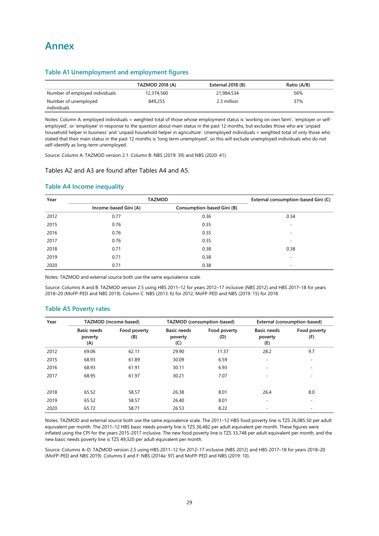#### <span id="page-32-1"></span><span id="page-32-0"></span>**Table A1 Unemployment and employment figures**

|                                     | <b>TAZMOD 2018 (A)</b> | External 2018 (B) | Ratio (A/B) |  |
|-------------------------------------|------------------------|-------------------|-------------|--|
| Number of employed individuals      | 12,374,560             | 21,984,534        | 56%         |  |
| Number of unemployed<br>individuals | 849,255                | 2.3 million       | 37%         |  |

Notes: Column A: employed individuals = weighted total of those whose employment status is 'working on own farm', 'employer or selfemployed', or 'employee' in response to the question about main status in the past 12 months, but excludes those who are 'unpaid household helper in business' and 'unpaid household helper in agriculture'. Unemployed individuals = weighted total of only those who stated that their main status in the past 12 months is 'long term unemployed', so this will exclude unemployed individuals who do not self-identify as long-term unemployed.

Source: Column A: TAZMOD version 2.1. Column B: NBS (2019: 39) and NBS (2020: 41).

#### Tables A2 and A3 are found after Tables A4 and A5.

#### <span id="page-32-2"></span>**Table A4 Income inequality**

| Year | <b>TAZMOD</b>         | External consumption-based Gini (C) |                          |
|------|-----------------------|-------------------------------------|--------------------------|
|      | Income-based Gini (A) | Consumption-based Gini (B)          |                          |
| 2012 | 0.77                  | 0.36                                | 0.34                     |
| 2015 | 0.76                  | 0.35                                | $\overline{\phantom{a}}$ |
| 2016 | 0.76                  | 0.35                                | $\overline{\phantom{a}}$ |
| 2017 | 0.76                  | 0.35                                |                          |
| 2018 | 0.71                  | 0.38                                | 0.38                     |
| 2019 | 0.71                  | 0.38                                | $\overline{\phantom{a}}$ |
| 2020 | 0.71                  | 0.38                                |                          |

Notes: TAZMOD and external source both use the same equivalence scale.

Source: Columns A and B: TAZMOD version 2.5 using HBS 2011–12 for years 2012–17 inclusive (NBS 2012) and HBS 2017–18 for years 2018–20 (MoFP-PED and NBS 2019). Column C: NBS (2013: 6) for 2012; MoFP-PED and NBS (2019: 15) for 2018.

#### <span id="page-32-3"></span>**Table A5 Poverty rates**

| Year |                                      | TAZMOD (income-based) |                                      | TAZMOD (consumption-based) |                                      | External (consumption-based) |
|------|--------------------------------------|-----------------------|--------------------------------------|----------------------------|--------------------------------------|------------------------------|
|      | <b>Basic needs</b><br>poverty<br>(A) | Food poverty<br>(B)   | <b>Basic needs</b><br>poverty<br>(C) | Food poverty<br>(D)        | <b>Basic needs</b><br>poverty<br>(E) | Food poverty<br>(F)          |
| 2012 | 69.06                                | 62.11                 | 29.90                                | 11.37                      | 28.2                                 | 9.7                          |
| 2015 | 68.93                                | 61.89                 | 30.09                                | 6.59                       | $\overline{\phantom{a}}$             |                              |
| 2016 | 68.93                                | 61.91                 | 30.11                                | 6.93                       | $\equiv$                             | -                            |
| 2017 | 68.95                                | 61.97                 | 30.21                                | 7.07                       | $\overline{\phantom{a}}$             |                              |
| 2018 | 65.52                                | 58.57                 | 26.38                                | 8.01                       | 26.4                                 | 8.0                          |
| 2019 | 65.52                                | 58.57                 | 26.40                                | 8.01                       | $\overline{\phantom{a}}$             |                              |
| 2020 | 65.72                                | 58.71                 | 26.53                                | 8.22                       | $\equiv$                             |                              |

Notes: TAZMOD and external source both use the same equivalence scale. The 2011–12 HBS food poverty line is TZS 26,085.50 per adult equivalent per month. The 2011–12 HBS basic needs poverty line is TZS 36,482 per adult equivalent per month. These figures were inflated using the CPI for the years 2015-2017 inclusive. The new food poverty line is TZS 33,748 per adult equivalent per month, and the new basic needs poverty line is TZS 49,320 per adult equivalent per month.

Source: Columns A–D: TAZMOD version 2.5 using HBS 2011–12 for 2012–17 inclusive (NBS 2012) and HBS 2017–18 for years 2018–20 (MoFP-PED and NBS 2019). Columns E and F: NBS (2014a: 97) and MoFP-PED and NBS (2019: 10).